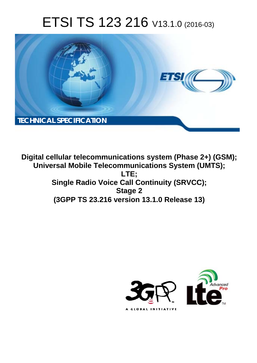# ETSI TS 123 216 V13.1.0 (2016-03)



**Digital cellular telecommunications system (Phase 2+) (GSM); Universal Mobile Tel elecommunications System ( (UMTS); Single Radio Voice Call Continuity (SRVCC); (3GPP TS 23.2 .216 version 13.1.0 Release 13 13) LTE; Stage 2** 

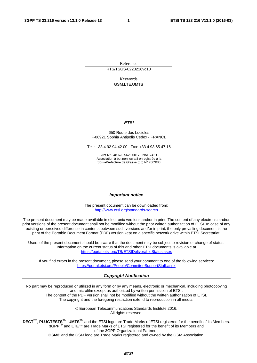Reference RTS/TSGS-0223216vd10

> Keywords GSM,LTE,UMTS

#### *ETSI*

#### 650 Route des Lucioles F-06921 Sophia Antipolis Cedex - FRANCE

Tel.: +33 4 92 94 42 00 Fax: +33 4 93 65 47 16

Siret N° 348 623 562 00017 - NAF 742 C Association à but non lucratif enregistrée à la Sous-Préfecture de Grasse (06) N° 7803/88

#### *Important notice*

The present document can be downloaded from: <http://www.etsi.org/standards-search>

The present document may be made available in electronic versions and/or in print. The content of any electronic and/or print versions of the present document shall not be modified without the prior written authorization of ETSI. In case of any existing or perceived difference in contents between such versions and/or in print, the only prevailing document is the print of the Portable Document Format (PDF) version kept on a specific network drive within ETSI Secretariat.

Users of the present document should be aware that the document may be subject to revision or change of status. Information on the current status of this and other ETSI documents is available at <https://portal.etsi.org/TB/ETSIDeliverableStatus.aspx>

If you find errors in the present document, please send your comment to one of the following services: <https://portal.etsi.org/People/CommiteeSupportStaff.aspx>

#### *Copyright Notification*

No part may be reproduced or utilized in any form or by any means, electronic or mechanical, including photocopying and microfilm except as authorized by written permission of ETSI.

The content of the PDF version shall not be modified without the written authorization of ETSI. The copyright and the foregoing restriction extend to reproduction in all media.

> © European Telecommunications Standards Institute 2016. All rights reserved.

**DECT**TM, **PLUGTESTS**TM, **UMTS**TM and the ETSI logo are Trade Marks of ETSI registered for the benefit of its Members. **3GPP**TM and **LTE**™ are Trade Marks of ETSI registered for the benefit of its Members and of the 3GPP Organizational Partners.

**GSM**® and the GSM logo are Trade Marks registered and owned by the GSM Association.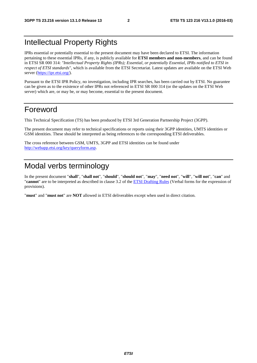## Intellectual Property Rights

IPRs essential or potentially essential to the present document may have been declared to ETSI. The information pertaining to these essential IPRs, if any, is publicly available for **ETSI members and non-members**, and can be found in ETSI SR 000 314: *"Intellectual Property Rights (IPRs); Essential, or potentially Essential, IPRs notified to ETSI in respect of ETSI standards"*, which is available from the ETSI Secretariat. Latest updates are available on the ETSI Web server ([https://ipr.etsi.org/\)](https://ipr.etsi.org/).

Pursuant to the ETSI IPR Policy, no investigation, including IPR searches, has been carried out by ETSI. No guarantee can be given as to the existence of other IPRs not referenced in ETSI SR 000 314 (or the updates on the ETSI Web server) which are, or may be, or may become, essential to the present document.

## Foreword

This Technical Specification (TS) has been produced by ETSI 3rd Generation Partnership Project (3GPP).

The present document may refer to technical specifications or reports using their 3GPP identities, UMTS identities or GSM identities. These should be interpreted as being references to the corresponding ETSI deliverables.

The cross reference between GSM, UMTS, 3GPP and ETSI identities can be found under [http://webapp.etsi.org/key/queryform.asp.](http://webapp.etsi.org/key/queryform.asp)

## Modal verbs terminology

In the present document "**shall**", "**shall not**", "**should**", "**should not**", "**may**", "**need not**", "**will**", "**will not**", "**can**" and "**cannot**" are to be interpreted as described in clause 3.2 of the [ETSI Drafting Rules](https://portal.etsi.org/Services/editHelp!/Howtostart/ETSIDraftingRules.aspx) (Verbal forms for the expression of provisions).

"**must**" and "**must not**" are **NOT** allowed in ETSI deliverables except when used in direct citation.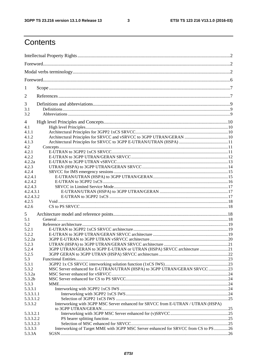$\mathbf{3}$ 

## Contents

| 1<br>2<br>3                                                                                             |  |
|---------------------------------------------------------------------------------------------------------|--|
|                                                                                                         |  |
|                                                                                                         |  |
|                                                                                                         |  |
|                                                                                                         |  |
|                                                                                                         |  |
| 3.1<br>3.2                                                                                              |  |
| 4                                                                                                       |  |
| 4.1<br>4.1.1<br>4.1.2<br>4.1.3                                                                          |  |
| 4.2                                                                                                     |  |
| 4.2.1<br>4.2.2<br>4.2.2a                                                                                |  |
| 4.2.3<br>4.2.4                                                                                          |  |
| 4.2.4.1<br>4.2.4.2<br>4.2.4.3                                                                           |  |
| 4.2.4.3.1<br>4.2.4.3.2                                                                                  |  |
| 4.2.5<br>4.2.6                                                                                          |  |
| 5                                                                                                       |  |
| 5.1<br>5.2                                                                                              |  |
| 5.2.1                                                                                                   |  |
| 5.2.2                                                                                                   |  |
| 5.2.2a                                                                                                  |  |
| 5.2.3                                                                                                   |  |
| 3GPP UTRAN/GERAN to 3GPP E-UTRAN or UTRAN (HSPA) SRVCC architecture 21<br>5.2.4                         |  |
| 5.2.5                                                                                                   |  |
| 5.3                                                                                                     |  |
| 5.3.1                                                                                                   |  |
| MSC Server enhanced for E-UTRAN/UTRAN (HSPA) to 3GPP UTRAN/GERAN SRVCC 23<br>5.3.2                      |  |
| 5.3.2a                                                                                                  |  |
| 5.3.2b<br>5.3.3                                                                                         |  |
| 5.3.3.1                                                                                                 |  |
| 5.3.3.1.1                                                                                               |  |
| 5.3.3.1.2                                                                                               |  |
| Interworking with 3GPP MSC Server enhanced for SRVCC from E-UTRAN / UTRAN (HSPA)<br>5.3.3.2             |  |
| 5.3.3.2.1                                                                                               |  |
| 5.3.3.2.2                                                                                               |  |
| 5.3.3.2.3                                                                                               |  |
| Interworking of Target MME with 3GPP MSC Server enhanced for SRVCC from CS to PS26<br>5.3.3.3<br>5.3.3A |  |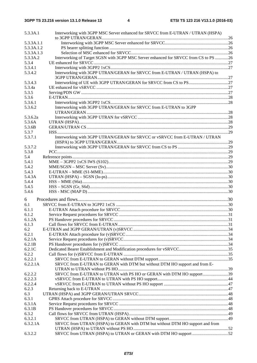| 5.3.3A.1   | Interworking with 3GPP MSC Server enhanced for SRVCC from E-UTRAN / UTRAN (HSPA)     |  |
|------------|--------------------------------------------------------------------------------------|--|
|            |                                                                                      |  |
| 5.3.3A.1.1 |                                                                                      |  |
| 5.3.3A.1.2 |                                                                                      |  |
| 5.3.3A.1.3 |                                                                                      |  |
| 5.3.3A.2   | Interworking of Target SGSN with 3GPP MSC Server enhanced for SRVCC from CS to PS 26 |  |
| 5.3.4      |                                                                                      |  |
| 5.3.4.1    |                                                                                      |  |
| 5.3.4.2    | Interworking with 3GPP UTRAN/GERAN for SRVCC from E-UTRAN / UTRAN (HSPA) to          |  |
| 5.3.4.3    |                                                                                      |  |
| 5.3.4a     |                                                                                      |  |
| 5.3.5      |                                                                                      |  |
| 5.3.6      |                                                                                      |  |
| 5.3.6.1    |                                                                                      |  |
| 5.3.6.2    | Interworking with 3GPP UTRAN/GERAN for SRVCC from E-UTRAN to 3GPP                    |  |
| 5.3.6.2a   |                                                                                      |  |
| 5.3.6A     |                                                                                      |  |
| 5.3.6B     |                                                                                      |  |
| 5.3.7      |                                                                                      |  |
| 5.3.7.1    | Interworking with 3GPP UTRAN/GERAN for SRVCC or vSRVCC from E-UTRAN / UTRAN          |  |
|            |                                                                                      |  |
| 5.3.7.2    |                                                                                      |  |
| 5.3.8      |                                                                                      |  |
| 5.4        |                                                                                      |  |
| 5.4.1      |                                                                                      |  |
| 5.4.2      |                                                                                      |  |
| 5.4.3      |                                                                                      |  |
| 5.4.3A     |                                                                                      |  |
| 5.4.4      |                                                                                      |  |
| 5.4.5      |                                                                                      |  |
| 5.4.6      |                                                                                      |  |
| 6          |                                                                                      |  |
| 6.1        |                                                                                      |  |
| 6.1.1      |                                                                                      |  |
| 6.1.2      |                                                                                      |  |
| 6.1.2A     |                                                                                      |  |
| 6.1.3      |                                                                                      |  |
| 6.2        |                                                                                      |  |
| 6.2.1      |                                                                                      |  |
| 6.2.1A     |                                                                                      |  |
| 6.2.1B     |                                                                                      |  |
| 6.2.1C     |                                                                                      |  |
| 6.2.2      |                                                                                      |  |
| 6.2.2.1    |                                                                                      |  |
| 6.2.2.1A   | SRVCC from E-UTRAN to GERAN with DTM but without DTM HO support and from E-          |  |
|            |                                                                                      |  |
| 6.2.2.2    | SRVCC from E-UTRAN to UTRAN with PS HO or GERAN with DTM HO support39                |  |
| 6.2.2.3    |                                                                                      |  |
| 6.2.2.4    |                                                                                      |  |
| 6.2.3      |                                                                                      |  |
| 6.3        |                                                                                      |  |
| 6.3.1      |                                                                                      |  |
| 6.3.1A     |                                                                                      |  |
| 6.3.1B     |                                                                                      |  |
| 6.3.2      |                                                                                      |  |
| 6.3.2.1    |                                                                                      |  |
| 6.3.2.1A   | SRVCC from UTRAN (HSPA) to GERAN with DTM but without DTM HO support and from        |  |
|            |                                                                                      |  |
| 6.3.2.2    | SRVCC from UTRAN (HSPA) to UTRAN or GERAN with DTM HO support 52                     |  |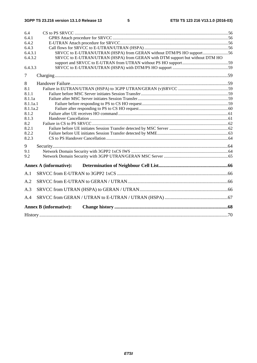| 6.4          |                                                                              |  |  |  |  |  |  |  |  |
|--------------|------------------------------------------------------------------------------|--|--|--|--|--|--|--|--|
| 6.4.1        |                                                                              |  |  |  |  |  |  |  |  |
| 6.4.2        |                                                                              |  |  |  |  |  |  |  |  |
| 6.4.3        |                                                                              |  |  |  |  |  |  |  |  |
| 6.4.3.1      | SRVCC to E-UTRAN/UTRAN (HSPA) from GERAN without DTM/PS HO support56         |  |  |  |  |  |  |  |  |
| 6.4.3.2      | SRVCC to E-UTRAN/UTRAN (HSPA) from GERAN with DTM support but without DTM HO |  |  |  |  |  |  |  |  |
|              |                                                                              |  |  |  |  |  |  |  |  |
| 6.4.3.3      |                                                                              |  |  |  |  |  |  |  |  |
| 7            |                                                                              |  |  |  |  |  |  |  |  |
| 8            |                                                                              |  |  |  |  |  |  |  |  |
| 8.1          |                                                                              |  |  |  |  |  |  |  |  |
| 8.1.1        |                                                                              |  |  |  |  |  |  |  |  |
| 8.1.1a       |                                                                              |  |  |  |  |  |  |  |  |
| 8.1.1a.1     |                                                                              |  |  |  |  |  |  |  |  |
| 8.1.1a.2     |                                                                              |  |  |  |  |  |  |  |  |
| 8.1.2        |                                                                              |  |  |  |  |  |  |  |  |
| 8.1.3        |                                                                              |  |  |  |  |  |  |  |  |
| 8.2<br>8.2.1 |                                                                              |  |  |  |  |  |  |  |  |
| 8.2.2        |                                                                              |  |  |  |  |  |  |  |  |
| 8.2.3        |                                                                              |  |  |  |  |  |  |  |  |
|              |                                                                              |  |  |  |  |  |  |  |  |
| 9            |                                                                              |  |  |  |  |  |  |  |  |
| 9.1<br>9.2   |                                                                              |  |  |  |  |  |  |  |  |
|              |                                                                              |  |  |  |  |  |  |  |  |
|              | <b>Annex A (informative):</b>                                                |  |  |  |  |  |  |  |  |
| A.1          |                                                                              |  |  |  |  |  |  |  |  |
| A.2          |                                                                              |  |  |  |  |  |  |  |  |
| A.3          |                                                                              |  |  |  |  |  |  |  |  |
| A.4          |                                                                              |  |  |  |  |  |  |  |  |
|              | <b>Annex B</b> (informative):                                                |  |  |  |  |  |  |  |  |
|              |                                                                              |  |  |  |  |  |  |  |  |
|              |                                                                              |  |  |  |  |  |  |  |  |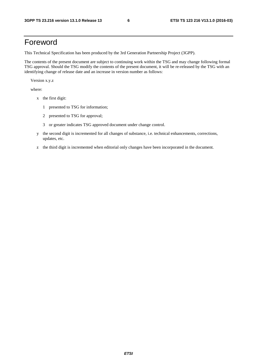## Foreword

This Technical Specification has been produced by the 3rd Generation Partnership Project (3GPP).

The contents of the present document are subject to continuing work within the TSG and may change following formal TSG approval. Should the TSG modify the contents of the present document, it will be re-released by the TSG with an identifying change of release date and an increase in version number as follows:

Version x.y.z

where:

- x the first digit:
	- 1 presented to TSG for information;
	- 2 presented to TSG for approval;
	- 3 or greater indicates TSG approved document under change control.
- y the second digit is incremented for all changes of substance, i.e. technical enhancements, corrections, updates, etc.
- z the third digit is incremented when editorial only changes have been incorporated in the document.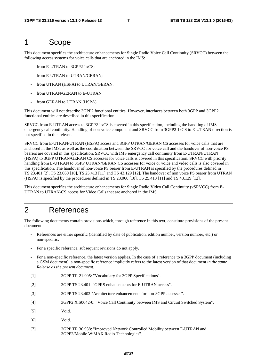## 1 Scope

This document specifies the architecture enhancements for Single Radio Voice Call Continuity (SRVCC) between the following access systems for voice calls that are anchored in the IMS:

- from E-UTRAN to 3GPP2 1xCS;
- from E-UTRAN to UTRAN/GERAN;
- from UTRAN (HSPA) to UTRAN/GERAN.
- from UTRAN/GERAN to E-UTRAN.
- from GERAN to UTRAN (HSPA).

This document will not describe 3GPP2 functional entities. However, interfaces between both 3GPP and 3GPP2 functional entities are described in this specification.

SRVCC from E-UTRAN access to 3GPP2 1xCS is covered in this specification, including the handling of IMS emergency call continuity. Handling of non-voice component and SRVCC from 3GPP2 1xCS to E-UTRAN direction is not specified in this release.

SRVCC from E-UTRAN/UTRAN (HSPA) access and 3GPP UTRAN/GERAN CS accesses for voice calls that are anchored in the IMS, as well as the coordination between the SRVCC for voice call and the handover of non-voice PS bearers are covered in this specification. SRVCC with IMS emergency call continuity from E-UTRAN/UTRAN (HSPA) to 3GPP UTRAN/GERAN CS accesses for voice calls is covered in this specification. SRVCC with priority handling from E-UTRAN to 3GPP UTRAN/GERAN CS accesses for voice or voice and video calls is also covered in this specification. The handover of non-voice PS bearer from E-UTRAN is specified by the procedures defined in TS 23.401 [2], TS 23.060 [10], TS 25.413 [11] and TS 43.129 [12]. The handover of non voice PS bearer from UTRAN (HSPA) is specified by the procedures defined in TS 23.060 [10], TS 25.413 [11] and TS 43.129 [12].

This document specifies the architecture enhancements for Single Radio Video Call Continuity (vSRVCC) from E-UTRAN to UTRAN-CS access for Video Calls that are anchored in the IMS.

## 2 References

The following documents contain provisions which, through reference in this text, constitute provisions of the present document.

- References are either specific (identified by date of publication, edition number, version number, etc.) or non-specific.
- For a specific reference, subsequent revisions do not apply.
- For a non-specific reference, the latest version applies. In the case of a reference to a 3GPP document (including a GSM document), a non-specific reference implicitly refers to the latest version of that document *in the same Release as the present document*.
- [1] 3GPP TR 21.905: "Vocabulary for 3GPP Specifications".
- [2] 3GPP TS 23.401: "GPRS enhancements for E-UTRAN access".
- [3] 3GPP TS 23.402 "Architecture enhancements for non-3GPP accesses".
- [4] 3GPP2 X.S0042-0: "Voice Call Continuity between IMS and Circuit Switched System".
- [5] Void.
- [6] Void.
- [7] 3GPP TR 36.938: "Improved Network Controlled Mobility between E-UTRAN and 3GPP2/Mobile WiMAX Radio Technologies".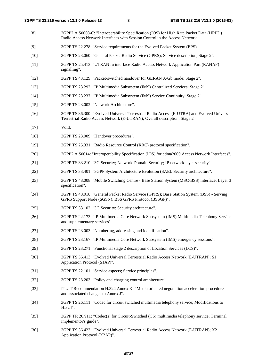- [8] 3GPP2 A.S0008-C: "Interoperability Specification (IOS) for High Rate Packet Data (HRPD) Radio Access Network Interfaces with Session Control in the Access Network".
- [9] 3GPP TS 22.278: "Service requirements for the Evolved Packet System (EPS)".
- [10] 3GPP TS 23.060: "General Packet Radio Service (GPRS); Service description; Stage 2".
- [11] 3GPP TS 25.413: "UTRAN Iu interface Radio Access Network Application Part (RANAP) signalling".
- [12] 3GPP TS 43.129: "Packet-switched handover for GERAN A/Gb mode; Stage 2".
- [13] 3GPP TS 23.292: "IP Multimedia Subsystem (IMS) Centralized Services: Stage 2".
- [14] 3GPP TS 23.237: "IP Multimedia Subsystem (IMS) Service Continuity: Stage 2".
- [15] 3GPP TS 23.002: "Network Architecture".
- [16] 3GPP TS 36.300: "Evolved Universal Terrestrial Radio Access (E-UTRA) and Evolved Universal Terrestrial Radio Access Network (E-UTRAN); Overall description; Stage 2".
- [17] Void.
- [18] 3GPP TS 23.009: "Handover procedures".
- [19] 3GPP TS 25.331: "Radio Resource Control (RRC) protocol specification".
- [20] 3GPP2 A.S0014: "Interoperability Specification (IOS) for cdma2000 Access Network Interfaces".
- [21] 3GPP TS 33.210: "3G Security; Network Domain Security; IP network layer security".
- [22] 3GPP TS 33.401: "3GPP System Architecture Evolution (SAE): Security architecture".
- [23] 3GPP TS 48.008: "Mobile Switching Centre Base Station System (MSC-BSS) interface; Layer 3 specification".
- [24] 3GPP TS 48.018: "General Packet Radio Service (GPRS); Base Station System (BSS) Serving GPRS Support Node (SGSN); BSS GPRS Protocol (BSSGP)".
- [25] 3GPP TS 33.102: "3G Security; Security architecture".
- [26] 3GPP TS 22.173: "IP Multimedia Core Network Subsystem (IMS) Multimedia Telephony Service and supplementary services".
- [27] 3GPP TS 23.003: "Numbering, addressing and identification".
- [28] 3GPP TS 23.167: "IP Multimedia Core Network Subsystem (IMS) emergency sessions".
- [29] 3GPP TS 23.271: "Functional stage 2 description of Location Services (LCS)".
- [30] 3GPP TS 36.413: "Evolved Universal Terrestrial Radio Access Network (E-UTRAN); S1 Application Protocol (S1AP)".
- [31] 3GPP TS 22.101: "Service aspects; Service principles".
- [32] 3GPP TS 23.203: "Policy and charging control architecture".
- [33] ITU-T Recommendation H.324 Annex K: "Media oriented negotiation acceleration procedure" and associated changes to Annex J".
- [34] 3GPP TS 26.111: "Codec for circuit switched multimedia telephony service; Modifications to H.324".
- [35] 3GPP TR 26.911: "Codec(s) for Circuit-Switched (CS) multimedia telephony service; Terminal implementor's guide".
- [36] 3GPP TS 36.423: "Evolved Universal Terrestrial Radio Access Network (E-UTRAN); X2 Application Protocol (X2AP)".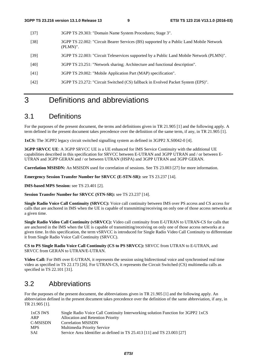- [37] 3GPP TS 29.303: "Domain Name System Procedures; Stage 3".
- [38] 3GPP TS 22.002: "Circuit Bearer Services (BS) supported by a Public Land Mobile Network (PLMN)".
- [39] 3GPP TS 22.003: "Circuit Teleservices supported by a Public Land Mobile Network (PLMN)".
- [40] 3GPP TS 23.251: "Network sharing; Architecture and functional description".
- [41] 3GPP TS 29.002: "Mobile Application Part (MAP) specification".
- [42] 3GPP TS 23.272: "Circuit Switched (CS) fallback in Evolved Packet System (EPS)".

## 3 Definitions and abbreviations

## 3.1 Definitions

For the purposes of the present document, the terms and definitions given in TR 21.905 [1] and the following apply. A term defined in the present document takes precedence over the definition of the same term, if any, in TR 21.905 [1].

**1xCS:** The 3GPP2 legacy circuit switched signalling system as defined in 3GPP2 X.S0042-0 [4].

**3GPP SRVCC UE:** A 3GPP SRVCC UE is a UE enhanced for IMS Service Continuity with the additional UE capabilities described in this specification for SRVCC between E-UTRAN and 3GPP UTRAN and / or between E-UTRAN and 3GPP GERAN and / or between UTRAN (HSPA) and 3GPP UTRAN and 3GPP GERAN.

**Correlation MSISDN:** An MSISDN used for correlation of sessions. See TS 23.003 [27] for more information.

**Emergency Session Transfer Number for SRVCC (E-STN-SR):** see TS 23.237 [14].

**IMS-based MPS Session:** see TS 23.401 [2].

**Session Transfer Number for SRVCC (STN-SR):** see TS 23.237 [14].

**Single Radio Voice Call Continuity (SRVCC):** Voice call continuity between IMS over PS access and CS access for calls that are anchored in IMS when the UE is capable of transmitting/receiving on only one of those access networks at a given time.

**Single Radio Video Call Continuity (vSRVCC):** Video call continuity from E-UTRAN to UTRAN-CS for calls that are anchored in the IMS when the UE is capable of transmitting/receiving on only one of those access networks at a given time. In this specification, the term vSRVCC is introduced for Single Radio Video Call Continuity to differentiate it from Single Radio Voice Call Continuity (SRVCC).

**CS to PS Single Radio Voice Call Continuity (CS to PS SRVCC):** SRVCC from UTRAN to E-UTRAN, and SRVCC from GERAN to UTRAN/E-UTRAN.

**Video Call:** For IMS over E-UTRAN, it represents the session using bidirectional voice and synchronised real time video as specified in TS 22.173 [26]. For UTRAN-CS, it represents the Circuit Switched (CS) multimedia calls as specified in TS 22.101 [31].

## 3.2 Abbreviations

For the purposes of the present document, the abbreviations given in TR 21.905 [1] and the following apply. An abbreviation defined in the present document takes precedence over the definition of the same abbreviation, if any, in TR 21.905 [1].

| 1xCS IWS   | Single Radio Voice Call Continuity Interworking solution Function for 3GPP2 1xCS |
|------------|----------------------------------------------------------------------------------|
| ARP        | Allocation and Retention Priority                                                |
| C-MSISDN   | <b>Correlation MSISDN</b>                                                        |
| <b>MPS</b> | Multimedia Priority Service                                                      |
| <b>SAI</b> | Service Area Identifier as defined in TS 25.413 [11] and TS 23.003 [27]          |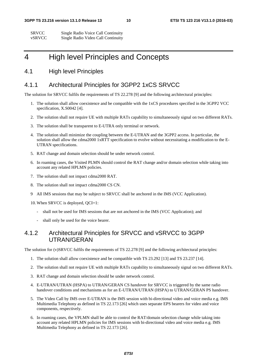| <b>SRVCC</b> | Single Radio Voice Call Continuity |
|--------------|------------------------------------|
| vSRVCC       | Single Radio Video Call Continuity |

## 4 High level Principles and Concepts

### 4.1 High level Principles

### 4.1.1 Architectural Principles for 3GPP2 1xCS SRVCC

The solution for SRVCC fulfils the requirements of TS 22.278 [9] and the following architectural principles:

- 1. The solution shall allow coexistence and be compatible with the 1xCS procedures specified in the 3GPP2 VCC specification, X.S0042 [4].
- 2. The solution shall not require UE with multiple RATs capability to simultaneously signal on two different RATs.
- 3. The solution shall be transparent to E-UTRA only terminal or network.
- 4. The solution shall minimize the coupling between the E-UTRAN and the 3GPP2 access. In particular, the solution shall allow the cdma2000 1xRTT specification to evolve without necessitating a modification to the E-UTRAN specifications.
- 5. RAT change and domain selection should be under network control.
- 6. In roaming cases, the Visited PLMN should control the RAT change and/or domain selection while taking into account any related HPLMN policies.
- 7. The solution shall not impact cdma2000 RAT.
- 8. The solution shall not impact cdma2000 CS CN.
- 9 All IMS sessions that may be subject to SRVCC shall be anchored in the IMS (VCC Application).
- 10. When SRVCC is deployed, QCI=1:
	- shall not be used for IMS sessions that are not anchored in the IMS (VCC Application); and
	- shall only be used for the voice bearer.

### 4.1.2 Architectural Principles for SRVCC and vSRVCC to 3GPP UTRAN/GERAN

The solution for (v)SRVCC fulfils the requirements of TS 22.278 [9] and the following architectural principles:

- 1. The solution shall allow coexistence and be compatible with TS 23.292 [13] and TS 23.237 [14].
- 2. The solution shall not require UE with multiple RATs capability to simultaneously signal on two different RATs.
- 3. RAT change and domain selection should be under network control.
- 4. E-UTRAN/UTRAN (HSPA) to UTRAN/GERAN CS handover for SRVCC is triggered by the same radio handover conditions and mechanisms as for an E-UTRAN/UTRAN (HSPA) to UTRAN/GERAN PS handover.
- 5. The Video Call by IMS over E-UTRAN is the IMS session with bi-directional video and voice media e.g. IMS Multimedia Telephony as defined in TS 22.173 [26] which uses separate EPS bearers for video and voice components, respectively.
- 6. In roaming cases, the VPLMN shall be able to control the RAT/domain selection change while taking into account any related HPLMN policies for IMS sessions with bi-directional video and voice media e.g. IMS Multimedia Telephony as defined in TS 22.173 [26].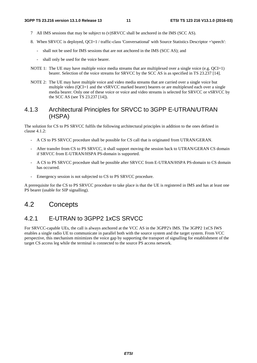- 7 All IMS sessions that may be subject to (v)SRVCC shall be anchored in the IMS (SCC AS).
- 8. When SRVCC is deployed, OCI=1 / traffic-class 'Conversational' with Source Statistics Descriptor ='speech':
	- shall not be used for IMS sessions that are not anchored in the IMS (SCC AS); and
		- shall only be used for the voice bearer.
- NOTE 1: The UE may have multiple voice media streams that are multiplexed over a single voice (e.g. QCI=1) bearer. Selection of the voice streams for SRVCC by the SCC AS is as specified in TS 23.237 [14].
- NOTE 2: The UE may have multiple voice and video media streams that are carried over a single voice but multiple video (OCI=1 and the vSRVCC marked bearer) bearers or are multiplexed each over a single media bearer. Only one of these voice or voice and video streams is selected for SRVCC or vSRVCC by the SCC AS (see TS 23.237 [14]).

### 4.1.3 Architectural Principles for SRVCC to 3GPP E-UTRAN/UTRAN (HSPA)

The solution for CS to PS SRVCC fulfils the following architectural principles in addition to the ones defined in clause 4.1.2:

- A CS to PS SRVCC procedure shall be possible for CS call that is originated from UTRAN/GERAN.
- After transfer from CS to PS SRVCC, it shall support moving the session back to UTRAN/GERAN CS domain if SRVCC from E-UTRAN/HSPA PS-domain is supported.
- A CS to PS SRVCC procedure shall be possible after SRVCC from E-UTRAN/HSPA PS-domain to CS domain has occurred.
- Emergency session is not subjected to CS to PS SRVCC procedure.

A prerequisite for the CS to PS SRVCC procedure to take place is that the UE is registered in IMS and has at least one PS bearer (usable for SIP signalling).

## 4.2 Concepts

### 4.2.1 E-UTRAN to 3GPP2 1xCS SRVCC

For SRVCC-capable UEs, the call is always anchored at the VCC AS in the 3GPP2's IMS. The 3GPP2 1xCS IWS enables a single radio UE to communicate in parallel both with the source system and the target system. From VCC perspective, this mechanism minimizes the voice gap by supporting the transport of signalling for establishment of the target CS access leg while the terminal is connected to the source PS access network.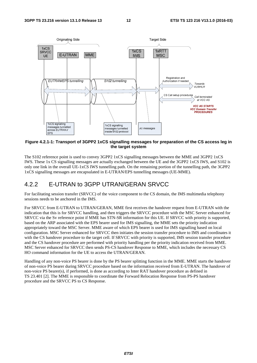

**Figure 4.2.1-1: Transport of 3GPP2 1xCS signalling messages for preparation of the CS access leg in the target system** 

The S102 reference point is used to convey 3GPP2 1xCS signalling messages between the MME and 3GPP2 1xCS IWS. These 1x CS signalling messages are actually exchanged between the UE and the 3GPP2 1xCS IWS, and S102 is only one link in the overall UE-1xCS IWS tunnelling path. On the remaining portion of the tunnelling path, the 3GPP2 1xCS signalling messages are encapsulated in E-UTRAN/EPS tunnelling messages (UE-MME).

## 4.2.2 E-UTRAN to 3GPP UTRAN/GERAN SRVCC

For facilitating session transfer (SRVCC) of the voice component to the CS domain, the IMS multimedia telephony sessions needs to be anchored in the IMS.

For SRVCC from E-UTRAN to UTRAN/GERAN, MME first receives the handover request from E-UTRAN with the indication that this is for SRVCC handling, and then triggers the SRVCC procedure with the MSC Server enhanced for SRVCC via the Sv reference point if MME has STN-SR information for this UE. If SRVCC with priority is supported, based on the ARP associated with the EPS bearer used for IMS signalling, the MME sets the priority indication appropriately toward the MSC Server. MME aware of which EPS bearer is used for IMS signalling based on local configuration. MSC Server enhanced for SRVCC then initiates the session transfer procedure to IMS and coordinates it with the CS handover procedure to the target cell. If SRVCC with priority is supported, IMS session transfer procedure and the CS handover procedure are performed with priority handling per the priority indication received from MME. MSC Server enhanced for SRVCC then sends PS-CS handover Response to MME, which includes the necessary CS HO command information for the UE to access the UTRAN/GERAN.

Handling of any non-voice PS bearer is done by the PS bearer splitting function in the MME. MME starts the handover of non-voice PS bearer during SRVCC procedure based on the information received from E-UTRAN. The handover of non-voice PS bearer(s), if performed, is done as according to Inter RAT handover procedure as defined in TS 23.401 [2]. The MME is responsible to coordinate the Forward Relocation Response from PS-PS handover procedure and the SRVCC PS to CS Response.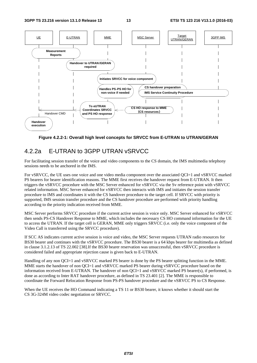

**Figure 4.2.2-1: Overall high level concepts for SRVCC from E-UTRAN to UTRAN/GERAN** 

## 4.2.2a E-UTRAN to 3GPP UTRAN vSRVCC

For facilitating session transfer of the voice and video components to the CS domain, the IMS multimedia telephony sessions needs to be anchored in the IMS.

For vSRVCC, the UE uses one voice and one video media component over the associated QCI=1 and vSRVCC marked PS bearers for bearer identification reasons. The MME first receives the handover request from E-UTRAN. It then triggers the vSRVCC procedure with the MSC Server enhanced for vSRVCC via the Sv reference point with vSRVCC related information. MSC Server enhanced for vSRVCC then interacts with IMS and initiates the session transfer procedure to IMS and coordinates it with the CS handover procedure to the target cell. If SRVCC with priority is supported, IMS session transfer procedure and the CS handover procedure are performed with priority handling according to the priority indication received from MME.

MSC Server performs SRVCC procedure if the current active session is voice only. MSC Server enhanced for vSRVCC then sends PS-CS Handover Response to MME, which includes the necessary CS HO command information for the UE to access the UTRAN. If the target cell is GERAN, MME only triggers SRVCC (i.e. only the voice component of the Video Call is transferred using the SRVCC procedure).

If SCC AS indicates current active session is voice and video, the MSC Server requests UTRAN radio resources for BS30 bearer and continues with the vSRVCC procedure. The BS30 bearer is a 64 kbps bearer for multimedia as defined in clause 3.1.2.13 of TS 22.002 [38].If the BS30 bearer reservation was unsuccessful, then vSRVCC procedure is considered failed and appropriate rejection cause is given back to E-UTRAN.

Handling of any non QCI=1 and vSRVCC marked PS bearer is done by the PS bearer splitting function in the MME. MME starts the handover of non QCI=1 and vSRVCC marked PS bearer during vSRVCC procedure based on the information received from E-UTRAN. The handover of non QCI=1 and vSRVCC marked PS bearer(s), if performed, is done as according to Inter RAT handover procedure, as defined in TS 23.401 [2]. The MME is responsible to coordinate the Forward Relocation Response from PS-PS handover procedure and the vSRVCC PS to CS Response.

When the UE receives the HO Command indicating a TS 11 or BS30 bearer, it knows whether it should start the CS 3G-324M video codec negotiation or SRVCC.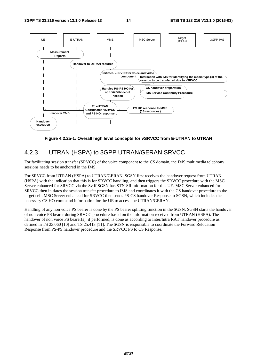

**Figure 4.2.2a-1: Overall high level concepts for vSRVCC from E-UTRAN to UTRAN** 

## 4.2.3 UTRAN (HSPA) to 3GPP UTRAN/GERAN SRVCC

For facilitating session transfer (SRVCC) of the voice component to the CS domain, the IMS multimedia telephony sessions needs to be anchored in the IMS.

For SRVCC from UTRAN (HSPA) to UTRAN/GERAN, SGSN first receives the handover request from UTRAN (HSPA) with the indication that this is for SRVCC handling, and then triggers the SRVCC procedure with the MSC Server enhanced for SRVCC via the Sv if SGSN has STN-SR information for this UE. MSC Server enhanced for SRVCC then initiates the session transfer procedure to IMS and coordinates it with the CS handover procedure to the target cell. MSC Server enhanced for SRVCC then sends PS-CS handover Response to SGSN, which includes the necessary CS HO command information for the UE to access the UTRAN/GERAN.

Handling of any non voice PS bearer is done by the PS bearer splitting function in the SGSN. SGSN starts the handover of non voice PS bearer during SRVCC procedure based on the information received from UTRAN (HSPA). The handover of non voice PS bearer(s), if performed, is done as according to Inter/Intra RAT handover procedure as defined in TS 23.060 [10] and TS 25.413 [11]. The SGSN is responsible to coordinate the Forward Relocation Response from PS-PS handover procedure and the SRVCC PS to CS Response.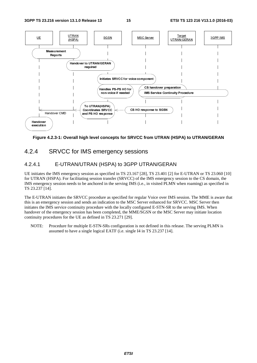

#### **Figure 4.2.3-1: Overall high level concepts for SRVCC from UTRAN (HSPA) to UTRAN/GERAN**

### 4.2.4 SRVCC for IMS emergency sessions

#### 4.2.4.1 E-UTRAN/UTRAN (HSPA) to 3GPP UTRAN/GERAN

UE initiates the IMS emergency session as specified in TS 23.167 [28], TS 23.401 [2] for E-UTRAN or TS 23.060 [10] for UTRAN (HSPA). For facilitating session transfer (SRVCC) of the IMS emergency session to the CS domain, the IMS emergency session needs to be anchored in the serving IMS (i.e., in visited PLMN when roaming) as specified in TS 23.237 [14].

EXECT FOR UTRAN<br>
SSSIONS<br>
PP UTRAN/GEF<br>
SSIONS<br>
PP UTRAN/GEF<br>
S.167 [28], TS 23.401<br>
C) of the IMS emerge<br>
MS (i.e., in visited PI<br>
or regular Voice over<br>
SC Server enhanced f<br>
y configured E-STN-S<br>
MME/SGSN or the M.<br>
1.<br> and Ps Ho response<br>
SP HO response<br>
Coordinates SP HO response<br>
Coordinates SP ession transf<br>
the anchored in the<br>
CC procedure as s<br>
Sends an indication<br>
SP procedure with<br>
In has been complas defined in TS 2<br>
ple E-STN-S igh level concep<br>
MS emerge<br>
MS emerge<br>
FRAN (HSPA<br>
ession as specifies<br>
ting session transfe<br>
be anchored in the<br>
CC procedure as s<br>
sends an indication<br>
as defined in TS 2<br>
ple E-STN-SRs c<br>
single logical EAT execution<br>
Figure<br>
2.4<br>
4.1<br>
initiates<br>
execution<br>
emerge<br>
23.237 [1<br>
E-UTR<sub>4</sub><br>
is an emerge<br>
inver of inuity provided in NOTE: Figure<br>
2.4<br>
4.1<br>
initiates<br>
UTRAN<br>
emerge<br>
23.237 [1<br>
E-UTR<br>
is an em<br>
ates the lover of<br>
inuity pr<br>
NOTE: The E-UTRAN initiates the SRVCC procedure as specified for regular Voice over IMS session. The MME is aware that this is an emergency session and sends an indication to the MSC Server enhanced for SRVCC. MSC Server then initiates the IMS service continuity procedure with the locally configured E-STN-SR to the serving IMS. When handover of the emergency session has been completed, the MME/SGSN or the MSC Server may initiate location continuity procedures for the UE as defined in TS 23.271 [29].

NOTE: Procedure for multiple E-STN-SRs configuration is not defined in this release. The serving PLMN is assumed to have a single logical EATF (i.e. single I4 in TS 23.237 [14].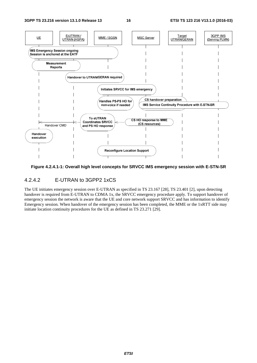

#### **Figure 4.2.4.1-1: Overall high level concepts for SRVCC IMS emergency session with E-STN-SR**

#### 4.2.4.2 E-UTRAN to 3GPP2 1xCS

The UE initiates emergency session over E-UTRAN as specified in TS 23.167 [28], TS 23.401 [2], upon detecting handover is required from E-UTRAN to CDMA 1x, the SRVCC emergency procedure apply. To support handover of emergency session the network is aware that the UE and core network support SRVCC and has information to identify Emergency session. When handover of the emergency session has been completed, the MME or the 1xRTT side may initiate location continuity procedures for the UE as defined in TS 23.271 [29].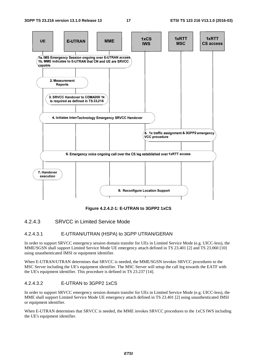

**Figure 4.2.4.2-1: E-UTRAN to 3GPP2 1xCS** 

#### 4.2.4.3 SRVCC in Limited Service Mode

#### 4.2.4.3.1 E-UTRAN/UTRAN (HSPA) to 3GPP UTRAN/GERAN

In order to support SRVCC emergency session domain transfer for UEs in Limited Service Mode (e.g. UICC-less), the MME/SGSN shall support Limited Service Mode UE emergency attach defined in TS 23.401 [2] and TS 23.060 [10] using unauthenticated IMSI or equipment identifier.

When E-UTRAN/UTRAN determines that SRVCC is needed, the MME/SGSN invokes SRVCC procedures to the MSC Server including the UE's equipment identifier. The MSC Server will setup the call leg towards the EATF with the UE's equipment identifier. This procedure is defined in TS 23.237 [14].

#### 4.2.4.3.2 E-UTRAN to 3GPP2 1xCS

In order to support SRVCC emergency session domain transfer for UEs in Limited Service Mode (e.g. UICC-less), the MME shall support Limited Service Mode UE emergency attach defined in TS 23.401 [2] using unauthenticated IMSI or equipment identifier.

When E-UTRAN determines that SRVCC is needed, the MME invokes SRVCC procedures to the 1xCS IWS including the UE's equipment identifier.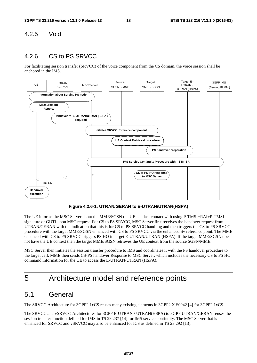#### 4.2.5 Void

### 4.2.6 CS to PS SRVCC

For facilitating session transfer (SRVCC) of the voice component from the CS domain, the voice session shall be anchored in the IMS.



**Figure 4.2.6-1: UTRAN/GERAN to E-UTRAN/UTRAN(HSPA)** 

The UE informs the MSC Server about the MME/SGSN the UE had last contact with using P-TMSI+RAI+P-TMSI signature or GUTI upon MSC request. For CS to PS SRVCC, MSC Server first receives the handover request from UTRAN/GERAN with the indication that this is for CS to PS SRVCC handling and then triggers the CS to PS SRVCC procedure with the target MME/SGSN enhanced with CS to PS SRVCC via the enhanced Sv reference point. The MME enhanced with CS to PS SRVCC triggers PS HO in target E-UTRAN/UTRAN (HSPA). If the target MME/SGSN does not have the UE context then the target MME/SGSN retrieves the UE context from the source SGSN/MME.

MSC Server then initiates the session transfer procedure to IMS and coordinates it with the PS handover procedure to the target cell. MME then sends CS-PS handover Response to MSC Server, which includes the necessary CS to PS HO command information for the UE to access the E-UTRAN/UTRAN (HSPA).

## 5 Architecture model and reference points

## 5.1 General

The SRVCC Architecture for 3GPP2 1xCS reuses many existing elements in 3GPP2 X.S0042 [4] for 3GPP2 1xCS.

The SRVCC and vSRVCC Architectures for 3GPP E-UTRAN / UTRAN(HSPA) to 3GPP UTRAN/GERAN reuses the session transfer function defined for IMS in TS 23.237 [14] for IMS service continuity. The MSC Server that is enhanced for SRVCC and vSRVCC may also be enhanced for ICS as defined in TS 23.292 [13].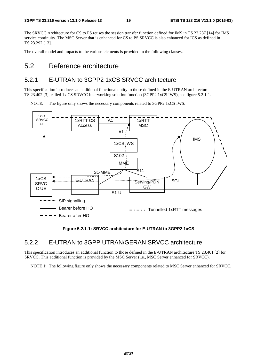The SRVCC Architecture for CS to PS reuses the session transfer function defined for IMS in TS 23.237 [14] for IMS service continuity. The MSC Server that is enhanced for CS to PS SRVCC is also enhanced for ICS as defined in TS 23.292 [13].

The overall model and impacts to the various elements is provided in the following clauses.

## 5.2 Reference architecture

## 5.2.1 E-UTRAN to 3GPP2 1xCS SRVCC architecture

This specification introduces an additional functional entity to those defined in the E-UTRAN architecture TS 23.402 [3], called 1x CS SRVCC interworking solution function (3GPP2 1xCS IWS), see figure 5.2.1-1.

NOTE: The figure only shows the necessary components related to 3GPP2 1xCS IWS.



#### **Figure 5.2.1-1: SRVCC architecture for E-UTRAN to 3GPP2 1xCS**

#### 5.2.2 E-UTRAN to 3GPP UTRAN/GERAN SRVCC architecture

This specification introduces an additional function to those defined in the E-UTRAN architecture TS 23.401 [2] for SRVCC. This additional function is provided by the MSC Server (i.e., MSC Server enhanced for SRVCC).

NOTE 1: The following figure only shows the necessary components related to MSC Server enhanced for SRVCC.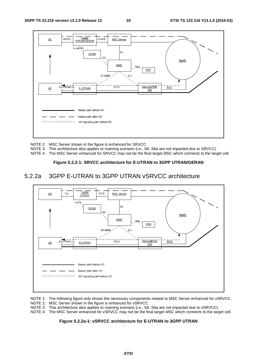

NOTE 2: MSC Server shown in the figure is enhanced for SRVCC.

NOTE 3: This architecture also applies to roaming scenario (i.e., S8, S6a are not impacted due to SRVCC).

NOTE 4: The MSC Server enhanced for SRVCC may not be the final target MSC which connects to the target cell.

#### **Figure 5.2.2-1: SRVCC architecture for E-UTRAN to 3GPP UTRAN/GERAN**

#### 5.2.2a 3GPP E-UTRAN to 3GPP UTRAN vSRVCC architecture



NOTE 1: The following figure only shows the necessary components related to MSC Server enhanced for vSRVCC. NOTE 2: MSC Server shown in the figure is enhanced for vSRVCC.

NOTE 3: This architecture also applies to roaming scenario (i.e., S8, S6a are not impacted due to vSRVCC).

NOTE 4: The MSC Server enhanced for vSRVCC may not be the final target MSC which connects to the target cell.

#### **Figure 5.2.2a-1: vSRVCC architecture for E-UTRAN to 3GPP UTRAN**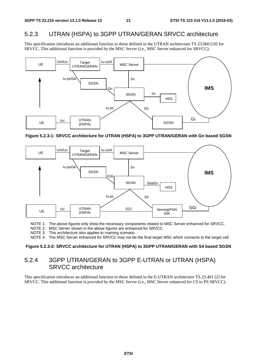## 5.2.3 UTRAN (HSPA) to 3GPP UTRAN/GERAN SRVCC architecture

This specification introduces an additional function to those defined in the UTRAN architecture TS 23.060 [10] for SRVCC. This additional function is provided by the MSC Server (i.e., MSC Server enhanced for SRVCC).



**Figure 5.2.3-1: SRVCC architecture for UTRAN (HSPA) to 3GPP UTRAN/GERAN with Gn based SGSN** 



NOTE 1: The above figures only show the necessary components related to MSC Server enhanced for SRVCC.

NOTE 2: MSC Server shown in the above figures are enhanced for SRVCC.

NOTE 3: This architecture also applies to roaming scenario.

NOTE 4: The MSC Server enhanced for SRVCC may not be the final target MSC which connects to the target cell.

#### **Figure 5.2.3-2: SRVCC architecture for UTRAN (HSPA) to 3GPP UTRAN/GERAN with S4 based SGSN**

## 5.2.4 3GPP UTRAN/GERAN to 3GPP E-UTRAN or UTRAN (HSPA) SRVCC architecture

This specification introduces an additional function to those defined in the E-UTRAN architecture TS 23.401 [2] for SRVCC. This additional function is provided by the MSC Server (i.e., MSC Server enhanced for CS to PS SRVCC).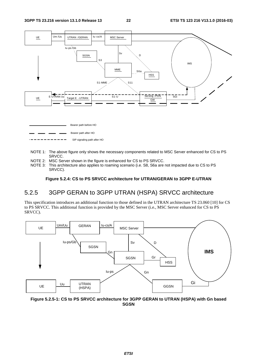

- NOTE 1: The above figure only shows the necessary components related to MSC Server enhanced for CS to PS SRVCC.
- NOTE 2: MSC Server shown in the figure is enhanced for CS to PS SRVCC.
- NOTE 3: This architecture also applies to roaming scenario (i.e. S8, S6a are not impacted due to CS to PS SRVCC).

**Figure 5.2.4: CS to PS SRVCC architecture for UTRAN/GERAN to 3GPP E-UTRAN** 

## 5.2.5 3GPP GERAN to 3GPP UTRAN (HSPA) SRVCC architecture

This specification introduces an additional function to those defined in the UTRAN architecture TS 23.060 [10] for CS to PS SRVCC. This additional function is provided by the MSC Server (i.e., MSC Server enhanced for CS to PS SRVCC).



**Figure 5.2.5-1: CS to PS SRVCC architecture for 3GPP GERAN to UTRAN (HSPA) with Gn based SGSN**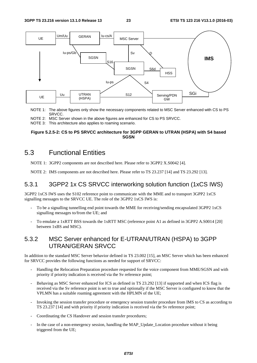

NOTE 1: The above figures only show the necessary components related to MSC Server enhanced with CS to PS SRVCC.

NOTE 2: MSC Server shown in the above figures are enhanced for CS to PS SRVCC.

NOTE 3: This architecture also applies to roaming scenario.

#### **Figure 5.2.5-2: CS to PS SRVCC architecture for 3GPP GERAN to UTRAN (HSPA) with S4 based SGSN**

## 5.3 Functional Entities

NOTE 1: 3GPP2 components are not described here. Please refer to 3GPP2 X.S0042 [4].

NOTE 2: IMS components are not described here. Please refer to TS 23.237 [14] and TS 23.292 [13].

#### 5.3.1 3GPP2 1x CS SRVCC interworking solution function (1xCS IWS)

3GPP2 1xCS IWS uses the S102 reference point to communicate with the MME and to transport 3GPP2 1xCS signalling messages to the SRVCC UE. The role of the 3GPP2 1xCS IWS is:

- To be a signalling tunnelling end point towards the MME for receiving/sending encapsulated 3GPP2 1xCS signalling messages to/from the UE; and
- To emulate a 1xRTT BSS towards the 1xRTT MSC (reference point A1 as defined in 3GPP2 A.S0014 [20] between 1xBS and MSC).

### 5.3.2 MSC Server enhanced for E-UTRAN/UTRAN (HSPA) to 3GPP UTRAN/GERAN SRVCC

In addition to the standard MSC Server behavior defined in TS 23.002 [15], an MSC Server which has been enhanced for SRVCC provides the following functions as needed for support of SRVCC:

- Handling the Relocation Preparation procedure requested for the voice component from MME/SGSN and with priority if priority indication is received via the Sv reference point;
- Behaving as MSC Server enhanced for ICS as defined in TS 23.292 [13] if supported and when ICS flag is received via the Sv reference point is set to true and optionally if the MSC Server is configured to know that the VPLMN has a suitable roaming agreement with the HPLMN of the UE;
- Invoking the session transfer procedure or emergency session transfer procedure from IMS to CS as according to TS 23.237 [14] and with priority if priority indication is received via the Sv reference point;
- Coordinating the CS Handover and session transfer procedures;
- In the case of a non-emergency session, handling the MAP\_Update\_Location procedure without it being triggered from the UE;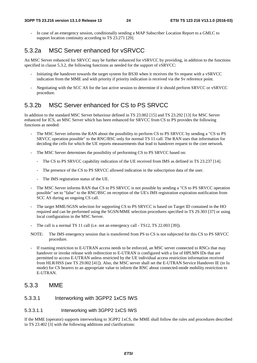- In case of an emergency session, conditionally sending a MAP Subscriber Location Report to a GMLC to support location continuity according to TS 23.271 [29].

## 5.3.2a MSC Server enhanced for vSRVCC

An MSC Server enhanced for SRVCC may be further enhanced for vSRVCC by providing, in addition to the functions specified in clause 5.3.2, the following functions as needed for the support of vSRVCC:

- Initiating the handover towards the target system for BS30 when it receives the Sv request with a vSRVCC indication from the MME and with priority if priority indication is received via the Sv reference point.
- Negotiating with the SCC AS for the last active session to determine if it should perform SRVCC or vSRVCC procedure.

## 5.3.2b MSC Server enhanced for CS to PS SRVCC

In addition to the standard MSC Server behaviour defined in TS 23.002 [15] and TS 23.292 [13] for MSC Server enhanced for ICS, an MSC Server which has been enhanced for SRVCC from CS to PS provides the following functions as needed:

- The MSC Server informs the RAN about the possibility to perform CS to PS SRVCC by sending a "CS to PS" SRVCC operation possible" to the RNC/BSC only for normal TS 11 call. The RAN uses that information for deciding the cells for which the UE reports measurements that lead to handover request to the core network.
- The MSC Server determines the possibility of performing CS to PS SRVCC based on:
	- The CS to PS SRVCC capability indication of the UE received from IMS as defined in TS 23.237 [14].
	- The presence of the CS to PS SRVCC allowed indication in the subscription data of the user.
	- The IMS registration status of the UE.
- The MSC Server informs RAN that CS to PS SRVCC is not possible by sending a "CS to PS SRVCC operation possible" set to "false" to the RNC/BSC on reception of the UE's IMS registration expiration notification from SCC AS during an ongoing CS call.
- The target MME/SGSN selection for supporting CS to PS SRVCC is based on Target ID contained in the HO required and can be performed using the SGSN/MME selection procedures specified in TS 29.303 [37] or using local configuration in the MSC Server.
- The call is a normal TS 11 call (i.e. not an emergency call TS12, TS 22.003 [39]).
- NOTE: The IMS emergency session that is transferred from PS to CS is not subjected for this CS to PS SRVCC procedure.
- If roaming restriction to E-UTRAN access needs to be enforced, an MSC server connected to RNCs that may handover or invoke release with redirection to E-UTRAN is configured with a list of HPLMN IDs that are permitted to access E-UTRAN unless restricted by the UE individual access restriction information received from HLR/HSS (see TS 29.002 [41]). Also, the MSC server shall set the E-UTRAN Service Handover IE (in Iu mode) for CS bearers to an appropriate value to inform the RNC about connected-mode mobility restriction to E-UTRAN.

#### 5.3.3 MME

#### 5.3.3.1 Interworking with 3GPP2 1xCS IWS

#### 5.3.3.1.1 Interworking with 3GPP2 1xCS IWS

If the MME (operator) supports interworking to 3GPP2 1xCS, the MME shall follow the rules and procedures described in TS 23.402 [3] with the following additions and clarifications: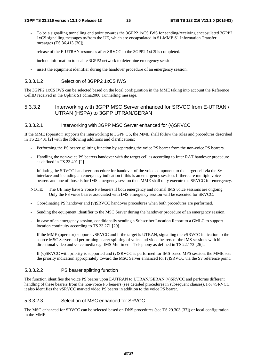- To be a signalling tunnelling end point towards the 3GPP2 1xCS IWS for sending/receiving encapsulated 3GPP2 1xCS signalling messages to/from the UE, which are encapsulated in S1-MME S1 Information Transfer messages (TS 36.413 [30]).
- release of the E-UTRAN resources after SRVCC to the 3GPP2 1xCS is completed.
- include information to enable 3GPP2 network to determine emergency session.
- insert the equipment identifier during the handover procedure of an emergency session.

#### 5.3.3.1.2 Selection of 3GPP2 1xCS IWS

The 3GPP2 1xCS IWS can be selected based on the local configuration in the MME taking into account the Reference CellID received in the Uplink S1 cdma2000 Tunnelling message.

#### 5.3.3.2 Interworking with 3GPP MSC Server enhanced for SRVCC from E-UTRAN / UTRAN (HSPA) to 3GPP UTRAN/GERAN

#### 5.3.3.2.1 Interworking with 3GPP MSC Server enhanced for (v)SRVCC

If the MME (operator) supports the interworking to 3GPP CS, the MME shall follow the rules and procedures described in TS 23.401 [2] with the following additions and clarifications:

- Performing the PS bearer splitting function by separating the voice PS bearer from the non-voice PS bearers.
- Handling the non-voice PS bearers handover with the target cell as according to Inter RAT handover procedure as defined in TS 23.401 [2].
- Initiating the SRVCC handover procedure for handover of the voice component to the target cell via the Sv interface and including an emergency indication if this is an emergency session. If there are multiple voice bearers and one of those is for IMS emergency session then MME shall only execute the SRVCC for emergency.
- NOTE: The UE may have 2 voice PS bearers if both emergency and normal IMS voice sessions are ongoing. Only the PS voice bearer associated with IMS emergency session will be executed for SRVCC.
- Coordinating PS handover and (v)SRVCC handover procedures when both procedures are performed.
- Sending the equipment identifier to the MSC Server during the handover procedure of an emergency session.
- In case of an emergency session, conditionally sending a Subscriber Location Report to a GMLC to support location continuity according to TS 23.271 [29].
- If the MME (operator) supports vSRVCC and if the target is UTRAN, signalling the vSRVCC indication to the source MSC Server and performing bearer splitting of voice and video bearers of the IMS sessions with bidirectional video and voice media e.g. IMS Multimedia Telephony as defined in TS 22.173 [26]...
- If (v)SRVCC with priority is supported and (v)SRVCC is performed for IMS-based MPS session, the MME sets the priority indication appropriately toward the MSC Server enhanced for (v)SRVCC via the Sv reference point.

#### 5.3.3.2.2 PS bearer splitting function

The function identifies the voice PS bearer upon E-UTRAN to UTRAN/GERAN (v)SRVCC and performs different handling of these bearers from the non-voice PS bearers (see detailed procedures in subsequent clauses). For vSRVCC, it also identifies the vSRVCC marked video PS bearer in addition to the voice PS bearer.

#### 5.3.3.2.3 Selection of MSC enhanced for SRVCC

The MSC enhanced for SRVCC can be selected based on DNS procedures (see TS 29.303 [37]) or local configuration in the MME.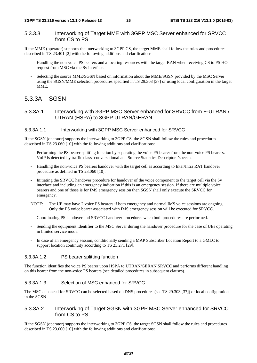#### 5.3.3.3 Interworking of Target MME with 3GPP MSC Server enhanced for SRVCC from CS to PS

If the MME (operator) supports the interworking to 3GPP CS, the target MME shall follow the rules and procedures described in TS 23.401 [2] with the following additions and clarifications:

- Handling the non-voice PS bearers and allocating resources with the target RAN when receiving CS to PS HO request from MSC via the Sv interface.
- Selecting the source MME/SGSN based on information about the MME/SGSN provided by the MSC Server using the SGSN/MME selection procedures specified in TS 29.303 [37] or using local configuration in the target MME.

#### 5.3.3A SGSN

#### 5.3.3A.1 Interworking with 3GPP MSC Server enhanced for SRVCC from E-UTRAN / UTRAN (HSPA) to 3GPP UTRAN/GERAN

#### 5.3.3A.1.1 Interworking with 3GPP MSC Server enhanced for SRVCC

If the SGSN (operator) supports the interworking to 3GPP CS, the SGSN shall follow the rules and procedures described in TS 23.060 [10] with the following additions and clarifications:

- Performing the PS bearer splitting function by separating the voice PS bearer from the non-voice PS bearers. VoIP is detected by traffic class=conversational and Source Statistics Descriptor='speech'.
- Handling the non-voice PS bearers handover with the target cell as according to Inter/Intra RAT handover procedure as defined in TS 23.060 [10].
- Initiating the SRVCC handover procedure for handover of the voice component to the target cell via the Sv interface and including an emergency indication if this is an emergency session. If there are multiple voice bearers and one of those is for IMS emergency session then SGSN shall only execute the SRVCC for emergency.
- NOTE: The UE may have 2 voice PS bearers if both emergency and normal IMS voice sessions are ongoing. Only the PS voice bearer associated with IMS emergency session will be executed for SRVCC.
- Coordinating PS handover and SRVCC handover procedures when both procedures are performed.
- Sending the equipment identifier to the MSC Server during the handover procedure for the case of UEs operating in limited service mode.
- In case of an emergency session, conditionally sending a MAP Subscriber Location Report to a GMLC to support location continuity according to TS 23.271 [29].

#### 5.3.3A.1.2 PS bearer splitting function

The function identifies the voice PS bearer upon HSPA to UTRAN/GERAN SRVCC and performs different handling on this bearer from the non-voice PS bearers (see detailed procedures in subsequent clauses).

#### 5.3.3A.1.3 Selection of MSC enhanced for SRVCC

The MSC enhanced for SRVCC can be selected based on DNS procedures (see TS 29.303 [37]) or local configuration in the SGSN.

#### 5.3.3A.2 Interworking of Target SGSN with 3GPP MSC Server enhanced for SRVCC from CS to PS

If the SGSN (operator) supports the interworking to 3GPP CS, the target SGSN shall follow the rules and procedures described in TS 23.060 [10] with the following additions and clarifications: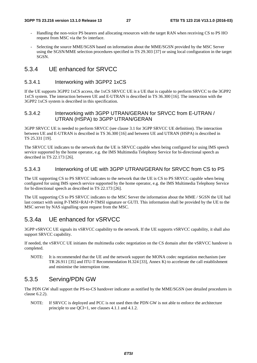- Handling the non-voice PS bearers and allocating resources with the target RAN when receiving CS to PS HO request from MSC via the Sv interface.
- Selecting the source MME/SGSN based on information about the MME/SGSN provided by the MSC Server using the SGSN/MME selection procedures specified in TS 29.303 [37] or using local configuration in the target SGSN.

#### 5.3.4 UE enhanced for SRVCC

#### 5.3.4.1 Interworking with 3GPP2 1xCS

If the UE supports 3GPP2 1xCS access, the 1xCS SRVCC UE is a UE that is capable to perform SRVCC to the 3GPP2 1xCS system. The interaction between UE and E-UTRAN is described in TS 36.300 [16]. The interaction with the 3GPP2 1xCS system is described in this specification.

#### 5.3.4.2 Interworking with 3GPP UTRAN/GERAN for SRVCC from E-UTRAN / UTRAN (HSPA) to 3GPP UTRAN/GERAN

3GPP SRVCC UE is needed to perform SRVCC (see clause 3.1 for 3GPP SRVCC UE definition). The interaction between UE and E-UTRAN is described in TS 36.300 [16] and between UE and UTRAN (HSPA) is described in TS 25.331 [19].

The SRVCC UE indicates to the network that the UE is SRVCC capable when being configured for using IMS speech service supported by the home operator, e.g. the IMS Multimedia Telephony Service for bi-directional speech as described in TS 22.173 [26].

#### 5.3.4.3 Interworking of UE with 3GPP UTRAN/GERAN for SRVCC from CS to PS

The UE supporting CS to PS SRVCC indicates to the network that the UE is CS to PS SRVCC capable when being configured for using IMS speech service supported by the home operator, e.g. the IMS Multimedia Telephony Service for bi-directional speech as described in TS 22.173 [26].

The UE supporting CS to PS SRVCC indicates to the MSC Server the information about the MME / SGSN the UE had last contact with using P-TMSI+RAI+P-TMSI signature or GUTI. This information shall be provided by the UE to the MSC server by NAS signalling upon request from the MSC.

### 5.3.4a UE enhanced for vSRVCC

3GPP vSRVCC UE signals its vSRVCC capability to the network. If the UE supports vSRVCC capability, it shall also support SRVCC capability.

If needed, the vSRVCC UE initiates the multimedia codec negotiation on the CS domain after the vSRVCC handover is completed.

NOTE: It is recommended that the UE and the network support the MONA codec negotiation mechanism (see TR 26.911 [35] and ITU-T Recommendation H.324 [33], Annex K) to accelerate the call establishment and minimise the interruption time.

### 5.3.5 Serving/PDN GW

The PDN GW shall support the PS-to-CS handover indicator as notified by the MME/SGSN (see detailed procedures in clause 6.2.2).

NOTE: If SRVCC is deployed and PCC is not used then the PDN GW is not able to enforce the architecture principle to use QCI=1, see clauses 4.1.1 and 4.1.2.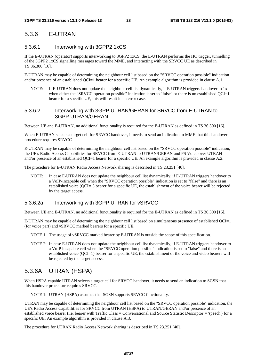## 5.3.6 E-UTRAN

#### 5.3.6.1 Interworking with 3GPP2 1xCS

If the E-UTRAN (operator) supports interworking to 3GPP2 1xCS, the E-UTRAN performs the HO trigger, tunnelling of the 3GPP2 1xCS signalling messages toward the MME, and interacting with the SRVCC UE as described in TS 36.300 [16].

E-UTRAN may be capable of determining the neighbour cell list based on the "SRVCC operation possible" indication and/or presence of an established OCI=1 bearer for a specific UE. An example algorithm is provided in clause A.1.

NOTE: If E-UTRAN does not update the neighbour cell list dynamically, if E-UTRAN triggers handover to 1x when either the "SRVCC operation possible" indication is set to "false" or there is no established  $QCI=1$ bearer for a specific UE, this will result in an error case.

#### 5.3.6.2 Interworking with 3GPP UTRAN/GERAN for SRVCC from E-UTRAN to 3GPP UTRAN/GERAN

Between UE and E-UTRAN, no additional functionality is required for the E-UTRAN as defined in TS 36.300 [16].

When E-UTRAN selects a target cell for SRVCC handover, it needs to send an indication to MME that this handover procedure requires SRVCC

E-UTRAN may be capable of determining the neighbour cell list based on the "SRVCC operation possible" indication, the UE's Radio Access Capabilities for SRVCC from E-UTRAN to UTRAN/GERAN and PS Voice over UTRAN and/or presence of an established QCI=1 bearer for a specific UE. An example algorithm is provided in clause A.2.

The procedure for E-UTRAN Radio Access Network sharing is described in TS 23.251 [40].

NOTE: In case E-UTRAN does not update the neighbour cell list dynamically, if E-UTRAN triggers handover to a VoIP-incapable cell when the "SRVCC operation possible" indication is set to "false" and there is an established voice (QCI=1) bearer for a specific UE, the establishment of the voice bearer will be rejected by the target access.

#### 5.3.6.2a Interworking with 3GPP UTRAN for vSRVCC

Between UE and E-UTRAN, no additional functionality is required for the E-UTRAN as defined in TS 36.300 [16].

E-UTRAN may be capable of determining the neighbour cell list based on simultaneous presence of established  $QCI=1$ (for voice part) and vSRVCC marked bearers for a specific UE.

- NOTE 1 The usage of vSRVCC marked bearer by E-UTRAN is outside the scope of this specification.
- NOTE 2: In case E-UTRAN does not update the neighbour cell list dynamically, if E-UTRAN triggers handover to a VoIP incapable cell when the "SRVCC operation possible" indication is set to "false" and there is an established voice (QCI=1) bearer for a specific UE, the establishment of the voice and video bearers will be rejected by the target access.

## 5.3.6A UTRAN (HSPA)

When HSPA capable UTRAN selects a target cell for SRVCC handover, it needs to send an indication to SGSN that this handover procedure requires SRVCC.

NOTE 1: UTRAN (HSPA) assumes that SGSN supports SRVCC functionality.

UTRAN may be capable of determining the neighbour cell list based on the "SRVCC operation possible" indication, the UE's Radio Access Capabilities for SRVCC from UTRAN (HSPA) to UTRAN/GERAN and/or presence of an established voice bearer (i.e. bearer with Traffic Class = Conversational and Source Statistic Descriptor = 'speech') for a specific UE. An example algorithm is provided in clause A.3.

The procedure for UTRAN Radio Access Network sharing is described in TS 23.251 [40].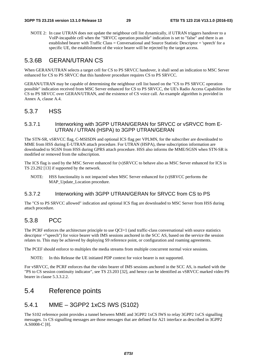NOTE 2: In case UTRAN does not update the neighbour cell list dynamically, if UTRAN triggers handover to a VoIP-incapable cell when the "SRVCC operation possible" indication is set to "false" and there is an established bearer with Traffic Class = Conversational and Source Statistic Descriptor = 'speech' for a specific UE, the establishment of the voice bearer will be rejected by the target access.

### 5.3.6B GERAN/UTRAN CS

When GERAN/UTRAN selects a target cell for CS to PS SRVCC handover, it shall send an indication to MSC Server enhanced for CS to PS SRVCC that this handover procedure requires CS to PS SRVCC.

GERAN/UTRAN may be capable of determining the neighbour cell list based on the "CS to PS SRVCC operation possible" indication received from MSC Server enhanced for CS to PS SRVCC, the UE's Radio Access Capabilities for CS to PS SRVCC over GERAN/UTRAN, and the existence of CS voice call. An example algorithm is provided in Annex A, clause A.4.

### 5.3.7 HSS

#### 5.3.7.1 Interworking with 3GPP UTRAN/GERAN for SRVCC or vSRVCC from E-UTRAN / UTRAN (HSPA) to 3GPP UTRAN/GERAN

The STN-SR, vSRVCC flag, C-MSISDN and optional ICS flag per VPLMN, for the subscriber are downloaded to MME from HSS during E-UTRAN attach procedure. For UTRAN (HSPA), these subscription information are downloaded to SGSN from HSS during GPRS attach procedure. HSS also informs the MME/SGSN when STN-SR is modified or removed from the subscription.

The ICS flag is used by the MSC Server enhanced for (v)SRVCC to behave also as MSC Server enhanced for ICS in TS 23.292 [13] if supported by the network.

NOTE: HSS functionality is not impacted when MSC Server enhanced for (v)SRVCC performs the MAP\_Update\_Location procedure.

#### 5.3.7.2 Interworking with 3GPP UTRAN/GERAN for SRVCC from CS to PS

The "CS to PS SRVCC allowed" indication and optional ICS flag are downloaded to MSC Server from HSS during attach procedure.

### 5.3.8 PCC

The PCRF enforces the architecture principle to use OCI=1 (and traffic-class conversational with source statistics descriptor ="speech") for voice bearer with IMS sessions anchored in the SCC AS, based on the service the session relates to. This may be achieved by deploying S9 reference point, or configuration and roaming agreements.

The PCEF should enforce to multiplex the media streams from multiple concurrent normal voice sessions.

NOTE: In this Release the UE initiated PDP context for voice bearer is not supported.

For vSRVCC, the PCRF enforces that the video bearer of IMS sessions anchored in the SCC AS, is marked with the "PS to CS session continuity indicator", see TS 23.203 [32], and hence can be identified as vSRVCC marked video PS bearer in clause 5.3.3.2.2.

## 5.4 Reference points

## 5.4.1 MME – 3GPP2 1xCS IWS (S102)

The S102 reference point provides a tunnel between MME and 3GPP2 1xCS IWS to relay 3GPP2 1xCS signalling messages. 1x CS signalling messages are those messages that are defined for A21 interface as described in 3GPP2 A.S0008-C [8].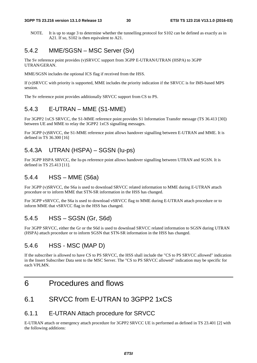NOTE. It is up to stage 3 to determine whether the tunnelling protocol for S102 can be defined as exactly as in A21. If so, S102 is then equivalent to A21.

### 5.4.2 MME/SGSN – MSC Server (Sv)

The Sv reference point provides (v)SRVCC support from 3GPP E-UTRAN/UTRAN (HSPA) to 3GPP UTRAN/GERAN.

MME/SGSN includes the optional ICS flag if received from the HSS.

If (v)SRVCC with priority is supported, MME includes the priority indication if the SRVCC is for IMS-based MPS session.

The Sv reference point provides additionally SRVCC support from CS to PS.

### 5.4.3 E-UTRAN – MME (S1-MME)

For 3GPP2 1xCS SRVCC, the S1-MME reference point provides S1 Information Transfer message (TS 36.413 [30]) between UE and MME to relay the 3GPP2 1xCS signalling messages.

For 3GPP (v)SRVCC, the S1-MME reference point allows handover signalling between E-UTRAN and MME. It is defined in TS 36.300 [16]

## 5.4.3A UTRAN (HSPA) – SGSN (Iu-ps)

For 3GPP HSPA SRVCC, the Iu-ps reference point allows handover signalling between UTRAN and SGSN. It is defined in TS 25.413 [11].

### 5.4.4 HSS – MME (S6a)

For 3GPP (v)SRVCC, the S6a is used to download SRVCC related information to MME during E-UTRAN attach procedure or to inform MME that STN-SR information in the HSS has changed.

For 3GPP vSRVCC, the S6a is used to download vSRVCC flag to MME during E-UTRAN attach procedure or to inform MME that vSRVCC flag in the HSS has changed.

#### 5.4.5 HSS – SGSN (Gr, S6d)

For 3GPP SRVCC, either the Gr or the S6d is used to download SRVCC related information to SGSN during UTRAN (HSPA) attach procedure or to inform SGSN that STN-SR information in the HSS has changed.

### 5.4.6 HSS - MSC (MAP D)

If the subscriber is allowed to have CS to PS SRVCC, the HSS shall include the "CS to PS SRVCC allowed" indication in the Insert Subscriber Data sent to the MSC Server. The "CS to PS SRVCC allowed" indication may be specific for each VPLMN.

## 6 Procedures and flows

### 6.1 SRVCC from E-UTRAN to 3GPP2 1xCS

#### 6.1.1 E-UTRAN Attach procedure for SRVCC

E-UTRAN attach or emergency attach procedure for 3GPP2 SRVCC UE is performed as defined in TS 23.401 [2] with the following additions: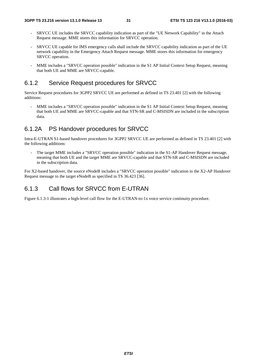- SRVCC UE includes the SRVCC capability indication as part of the "UE Network Capability" in the Attach Request message. MME stores this information for SRVCC operation.
- SRVCC UE capable for IMS emergency calls shall include the SRVCC capability indication as part of the UE network capability in the Emergency Attach Request message. MME stores this information for emergency SRVCC operation.
- MME includes a "SRVCC operation possible" indication in the S1 AP Initial Context Setup Request, meaning that both UE and MME are SRVCC-capable.

#### 6.1.2 Service Request procedures for SRVCC

Service Request procedures for 3GPP2 SRVCC UE are performed as defined in TS 23.401 [2] with the following additions:

MME includes a "SRVCC operation possible" indication in the S1 AP Initial Context Setup Request, meaning that both UE and MME are SRVCC-capable and that STN-SR and C-MSISDN are included in the subscription data.

### 6.1.2A PS Handover procedures for SRVCC

Intra-E-UTRAN S1-based handover procedures for 3GPP2 SRVCC UE are performed as defined in TS 23.401 [2] with the following additions:

- The target MME includes a "SRVCC operation possible" indication in the S1-AP Handover Request message, meaning that both UE and the target MME are SRVCC-capable and that STN-SR and C-MSISDN are included in the subscription data.

For X2-based handover, the source eNodeB includes a "SRVCC operation possible" indication in the X2-AP Handover Request message to the target eNodeB as specified in TS 36.423 [36].

## 6.1.3 Call flows for SRVCC from E-UTRAN

Figure 6.1.3-1 illustrates a high-level call flow for the E-UTRAN-to-1x voice service continuity procedure.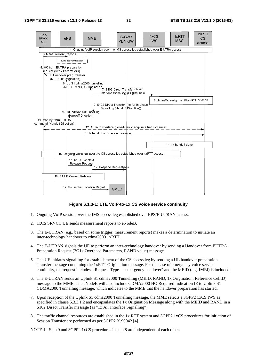

**Figure 6.1.3-1: LTE VoIP-to-1x CS voice service continuity** 

- 1. Ongoing VoIP session over the IMS access leg established over EPS/E-UTRAN access.
- 2. 1xCS SRVCC UE sends measurement reports to eNodeB.
- 3. The E-UTRAN (e.g., based on some trigger, measurement reports) makes a determination to initiate an inter-technology handover to cdma2000 1xRTT.
- 4. The E-UTRAN signals the UE to perform an inter-technology handover by sending a Handover from EUTRA Preparation Request (3G1x Overhead Parameters, RAND value) message.
- 5. The UE initiates signalling for establishment of the CS access leg by sending a UL handover preparation Transfer message containing the 1xRTT Origination message. For the case of emergency voice service continuity, the request includes a Request-Type = "emergency handover" and the MEID (e.g. IMEI) is included.
- 6. The E-UTRAN sends an Uplink S1 cdma2000 Tunnelling (MEID, RAND, 1x Origination, Reference CellID) message to the MME. The eNodeB will also include CDMA2000 HO Required Indication IE to Uplink S1 CDMA2000 Tunnelling message, which indicates to the MME that the handover preparation has started.
- 7. Upon reception of the Uplink S1 cdma2000 Tunnelling message, the MME selects a 3GPP2 1xCS IWS as specified in clause 5.3.3.1.2 and encapsulates the 1x Origination Message along with the MEID and RAND in a S102 Direct Transfer message (as "1x Air Interface Signalling").
- 8. The traffic channel resources are established in the 1x RTT system and 3GPP2 1xCS procedures for initiation of Session Transfer are performed as per 3GPP2 X.S0042 [4].

NOTE 1: Step 9 and 3GPP2 1xCS procedures in step 8 are independent of each other.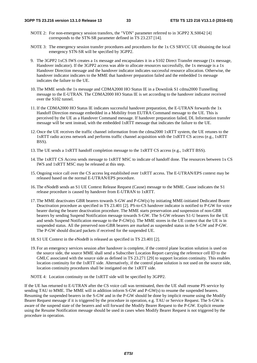- NOTE 2: For non-emergency session transfers, the "VDN" parameter referred to in 3GPP2 X.S0042 [4] corresponds to the STN-SR parameter defined in TS 23.237 [14].
- NOTE 3: The emergency session transfer procedures and procedures for the 1x CS SRVCC UE obtaining the local emergency STN-SR will be specified by 3GPP2.
- 9. The 3GPP2 1xCS IWS creates a 1x message and encapsulates it in a S102 Direct Transfer message (1x message, Handover indicator). If the 3GPP2 access was able to allocate resources successfully, the 1x message is a 1x Handover Direction message and the handover indicator indicates successful resource allocation. Otherwise, the handover indicator indicates to the MME that handover preparation failed and the embedded 1x message indicates the failure to the UE.
- 10. The MME sends the 1x message and CDMA2000 HO Status IE in a Downlink S1 cdma2000 Tunnelling message to the E-UTRAN. The CDMA2000 HO Status IE is set according to the handover indicator received over the S102 tunnel.
- 11. If the CDMA2000 HO Status IE indicates successful handover preparation, the E-UTRAN forwards the 1x Handoff Direction message embedded in a Mobility from EUTRA Command message to the UE. This is perceived by the UE as a Handover Command message. If handover preparation failed, DL Information transfer message will be sent instead, with the embedded 1xRTT message that indicates the failure to the UE.
- 12. Once the UE receives the traffic channel information from the cdma2000 1xRTT system, the UE retunes to the 1xRTT radio access network and performs traffic channel acquisition with the 1xRTT CS access (e.g., 1xRTT BSS).
- 13. The UE sends a 1xRTT handoff completion message to the 1xRTT CS access (e.g., 1xRTT BSS).
- 14. The 1xRTT CS Access sends message to 1xRTT MSC to indicate of handoff done. The resources between 1x CS IWS and 1xRTT MSC may be released at this step.
- 15. Ongoing voice call over the CS access leg established over 1xRTT access. The E-UTRAN/EPS context may be released based on the normal E-UTRAN/EPS procedure.
- 16. The eNodeB sends an S1 UE Context Release Request (Cause) message to the MME. Cause indicates the S1 release procedure is caused by handover from E-UTRAN to 1xRTT.
- 17. The MME deactivates GBR bearers towards S-GW and P-GW(s) by initiating MME-initiated Dedicated Bearer Deactivation procedure as specified in TS 23.401 [2]. PS-to-CS handover indicator is notified to P-GW for voice bearer during the bearer deactivation procedure. The MME starts preservation and suspension of non-GBR bearers by sending Suspend Notification message towards S-GW. The S-GW releases S1-U bearers for the UE and sends Suspend Notification message to the P-GW(s). The MME stores in the UE context that the UE is in suspended status. All the preserved non-GBR bearers are marked as suspended status in the S-GW and P-GW. The P-GW should discard packets if received for the suspended UE.
- 18. S1 UE Context in the eNodeB is released as specified in TS 23.401 [2].
- 19. For an emergency services session after handover is complete, if the control plane location solution is used on the source side, the source MME shall send a Subscriber Location Report carrying the reference cell ID to the GMLC associated with the source side as defined in TS 23.271 [29] to support location continuity. This enables location continuity for the 1xRTT side. Alternatively, if the control plane solution is not used on the source side, location continuity procedures shall be instigated on the 1xRTT side.

NOTE 4: Location continuity on the 1xRTT side will be specified by 3GPP2.

If the UE has returned to E-UTRAN after the CS voice call was terminated, then the UE shall resume PS service by sending TAU to MME. The MME will in addition inform S-GW and P-GW(s) to resume the suspended bearers. Resuming the suspended bearers in the S-GW and in the P-GW should be done by implicit resume using the Modify Bearer Request message if it is triggered by the procedure in operation, e.g. TAU or Service Request. The S-GW is aware of the suspend state of the bearers and will forward the Modify Bearer Request to the P-GW. Explicit resume using the Resume Notification message should be used in cases when Modify Bearer Request is not triggered by the procedure in operation.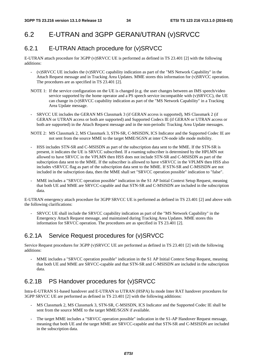## 6.2 E-UTRAN and 3GPP GERAN/UTRAN (v)SRVCC

## 6.2.1 E-UTRAN Attach procedure for (v)SRVCC

E-UTRAN attach procedure for 3GPP (v)SRVCC UE is performed as defined in TS 23.401 [2] with the following additions:

- (v)SRVCC UE includes the (v)SRVCC capability indication as part of the "MS Network Capability" in the Attach Request message and in Tracking Area Updates. MME stores this information for (v)SRVCC operation. The procedures are as specified in TS 23.401 [2].
- NOTE 1: If the service configuration on the UE is changed (e.g. the user changes between an IMS speech/video service supported by the home operator and a PS speech service incompatible with  $(v)$ SRVCC), the UE can change its (v)SRVCC capability indication as part of the "MS Network Capability" in a Tracking Area Update message.
- SRVCC UE includes the GERAN MS Classmark 3 (if GERAN access is supported), MS Classmark 2 (if GERAN or UTRAN access or both are supported) and Supported Codecs IE (if GERAN or UTRAN access or both are supported) in the Attach Request message and in the non-periodic Tracking Area Update messages.
- NOTE 2: MS Classmark 2, MS Classmark 3, STN-SR, C-MSISDN, ICS Indicator and the Supported Codec IE are not sent from the source MME to the target MME/SGSN at inter CN-node idle mode mobility.
- HSS includes STN-SR and C-MSISDN as part of the subscription data sent to the MME. If the STN-SR is present, it indicates the UE is SRVCC subscribed. If a roaming subscriber is determined by the HPLMN not allowed to have SRVCC in the VPLMN then HSS does not include STN-SR and C-MSISDN as part of the subscription data sent to the MME. If the subscriber is allowed to have vSRVCC in the VPLMN then HSS also includes vSRVCC flag as part of the subscription data sent to the MME. If STN-SR and C-MSISDN are not included in the subscription data, then the MME shall set "SRVCC operation possible" indication to "false".
- MME includes a "SRVCC operation possible" indication in the S1 AP Initial Context Setup Request, meaning that both UE and MME are SRVCC-capable and that STN-SR and C-MSISDN are included in the subscription data.

E-UTRAN emergency attach procedure for 3GPP SRVCC UE is performed as defined in TS 23.401 [2] and above with the following clarifications:

- SRVCC UE shall include the SRVCC capability indication as part of the "MS Network Capability" in the Emergency Attach Request message, and maintained during Tracking Area Updates. MME stores this information for SRVCC operation. The procedures are as specified in TS 23.401 [2].

## 6.2.1A Service Request procedures for (v)SRVCC

Service Request procedures for 3GPP (v)SRVCC UE are performed as defined in TS 23.401 [2] with the following additions:

MME includes a "SRVCC operation possible" indication in the S1 AP Initial Context Setup Request, meaning that both UE and MME are SRVCC-capable and that STN-SR and C-MSISDN are included in the subscription data.

## 6.2.1B PS Handover procedures for (v)SRVCC

Intra-E-UTRAN S1-based handover and E-UTRAN to UTRAN (HSPA) Iu mode Inter RAT handover procedures for 3GPP SRVCC UE are performed as defined in TS 23.401 [2] with the following additions:

- MS Classmark 2, MS Classmark 3, STN-SR, C-MSISDN, ICS Indicator and the Supported Codec IE shall be sent from the source MME to the target MME/SGSN if available.
- The target MME includes a "SRVCC operation possible" indication in the S1-AP Handover Request message, meaning that both UE and the target MME are SRVCC-capable and that STN-SR and C-MSISDN are included in the subscription data.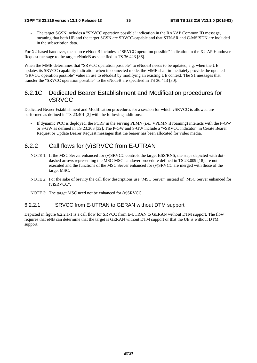The target SGSN includes a "SRVCC operation possible" indication in the RANAP Common ID message, meaning that both UE and the target SGSN are SRVCC-capable and that STN-SR and C-MSISDN are included in the subscription data.

For X2-based handover, the source eNodeB includes a "SRVCC operation possible" indication in the X2-AP Handover Request message to the target eNodeB as specified in TS 36.423 [36].

When the MME determines that "SRVCC operation possible" to eNodeB needs to be updated, e.g. when the UE updates its SRVCC capability indication when in connected mode, the MME shall immediately provide the updated "SRVCC operation possible" value in use to eNodeB by modifying an existing UE context. The S1 messages that transfer the "SRVCC operation possible" to the eNodeB are specified in TS 36.413 [30].

#### 6.2.1C Dedicated Bearer Establishment and Modification procedures for vSRVCC

Dedicated Bearer Establishment and Modification procedures for a session for which vSRVCC is allowed are performed as defined in TS 23.401 [2] with the following additions:

If dynamic PCC is deployed, the PCRF in the serving PLMN (i.e., VPLMN if roaming) interacts with the P-GW or S-GW as defined in TS 23.203 [32]. The P-GW and S-GW include a "vSRVCC indicator" in Create Bearer Request or Update Bearer Request messages that the bearer has been allocated for video media.

### 6.2.2 Call flows for (v)SRVCC from E-UTRAN

- NOTE 1: If the MSC Server enhanced for (v)SRVCC controls the target BSS/RNS, the steps depicted with dotdashed arrows representing the MSC-MSC handover procedure defined in TS 23.009 [18] are not executed and the functions of the MSC Server enhanced for (v)SRVCC are merged with those of the target MSC.
- NOTE 2: For the sake of brevity the call flow descriptions use "MSC Server" instead of "MSC Server enhanced for (v)SRVCC".

NOTE 3: The target MSC need not be enhanced for (v)SRVCC.

#### 6.2.2.1 SRVCC from E-UTRAN to GERAN without DTM support

Depicted in figure 6.2.2.1-1 is a call flow for SRVCC from E-UTRAN to GERAN without DTM support. The flow requires that eNB can determine that the target is GERAN without DTM support or that the UE is without DTM support.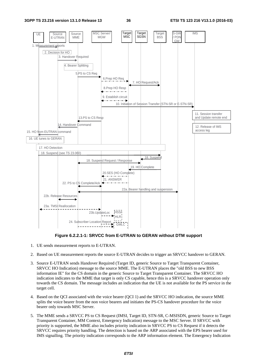

**Figure 6.2.2.1-1: SRVCC from E-UTRAN to GERAN without DTM support** 

- 1. UE sends measurement reports to E-UTRAN.
- 2. Based on UE measurement reports the source E-UTRAN decides to trigger an SRVCC handover to GERAN.
- 3. Source E-UTRAN sends Handover Required (Target ID, generic Source to Target Transparent Container, SRVCC HO Indication) message to the source MME. The E-UTRAN places the "old BSS to new BSS information IE" for the CS domain in the generic Source to Target Transparent Container. The SRVCC HO indication indicates to the MME that target is only CS capable, hence this is a SRVCC handover operation only towards the CS domain. The message includes an indication that the UE is not available for the PS service in the target cell.
- 4. Based on the QCI associated with the voice bearer (QCI 1) and the SRVCC HO indication, the source MME splits the voice bearer from the non voice bearers and initiates the PS-CS handover procedure for the voice bearer only towards MSC Server.
- 5. The MME sends a SRVCC PS to CS Request (IMSI, Target ID, STN-SR, C-MSISDN, generic Source to Target Transparent Container, MM Context, Emergency Indication) message to the MSC Server. If SRVCC with priority is supported, the MME also includes priority indication in SRVCC PS to CS Request if it detects the SRVCC requires priority handling. The detection is based on the ARP associated with the EPS bearer used for IMS signalling. The priority indication corresponds to the ARP information element. The Emergency Indication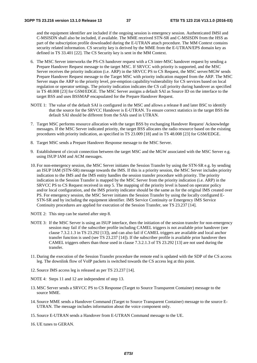and the equipment identifier are included if the ongoing session is emergency session. Authenticated IMSI and C-MSISDN shall also be included, if available. The MME received STN-SR and C-MSISDN from the HSS as part of the subscription profile downloaded during the E-UTRAN attach procedure. The MM Context contains security related information. CS security key is derived by the MME from the E-UTRAN/EPS domain key as defined in TS 33.401 [22]. The CS Security key is sent in the MM Context.

- 6. The MSC Server interworks the PS-CS handover request with a CS inter-MSC handover request by sending a Prepare Handover Request message to the target MSC. If SRVCC with priority is supported, and the MSC Server receives the priority indication (i.e. ARP) in the SRVCC PS to CS Request, the MSC server/MGW sends Prepare Handover Request message to the Target MSC with priority indication mapped from the ARP. The MSC Server maps the ARP to the priority level, pre-emption capability/vulnerability for CS services based on local regulation or operator settings. The priority indication indicates the CS call priority during handover as specified in TS 48.008 [23] for GSM/EDGE. The MSC Server assigns a default SAI as Source ID on the interface to the target BSS and uses BSSMAP encapsulated for the Prepare Handover Request.
- NOTE 1: The value of the default SAI is configured in the MSC and allows a release 8 and later BSC to identify that the source for the SRVCC Handover is E-UTRAN. To ensure correct statistics in the target BSS the default SAI should be different from the SAIs used in UTRAN.
- 7. Target MSC performs resource allocation with the target BSS by exchanging Handover Request/ Acknowledge messages. If the MSC Server indicated priority, the target BSS allocates the radio resource based on the existing procedures with priority indication, as specified in TS 23.009 [18] and in TS 48.008 [23] for GSM/EDGE.
- 8. Target MSC sends a Prepare Handover Response message to the MSC Server.
- 9. Establishment of circuit connection between the target MSC and the MGW associated with the MSC Server e.g. using ISUP IAM and ACM messages.
- 10. For non-emergency session, the MSC Server initiates the Session Transfer by using the STN-SR e.g. by sending an ISUP IAM (STN-SR) message towards the IMS. If this is a priority session, the MSC Server includes priority indication to the IMS and the IMS entity handles the session transfer procedure with priority. The priority indication in the Session Transfer is mapped by the MSC Server from the priority indication (i.e. ARP) in the SRVCC PS to CS Request received in step 5. The mapping of the priority level is based on operator policy and/or local configuration, and the IMS priority indicator should be the same as for the original IMS created over PS. For emergency session, the MSC Server initiates the Session Transfer by using the locally configured E-STN-SR and by including the equipment identifier. IMS Service Continuity or Emergency IMS Service Continuity procedures are applied for execution of the Session Transfer, see TS 23.237 [14].
- NOTE 2: This step can be started after step 8.
- NOTE 3: If the MSC Server is using an ISUP interface, then the initiation of the session transfer for non-emergency session may fail if the subscriber profile including CAMEL triggers is not available prior handover (see clause 7.3.2.1.3 in TS 23.292 [13]), and can also fail if CAMEL triggers are available and local anchor transfer function is used (see TS 23.237 [14]). If the subscriber profile is available prior handover then CAMEL triggers others than those used in clause 7.3.2.1.3 of TS 23.292 [13] are not used during the transfer.
- 11. During the execution of the Session Transfer procedure the remote end is updated with the SDP of the CS access leg. The downlink flow of VoIP packets is switched towards the CS access leg at this point.
- 12. Source IMS access leg is released as per TS 23.237 [14].
- NOTE 4: Steps 11 and 12 are independent of step 13.
- 13. MSC Server sends a SRVCC PS to CS Response (Target to Source Transparent Container) message to the source MME.
- 14. Source MME sends a Handover Command (Target to Source Transparent Container) message to the source E-UTRAN. The message includes information about the voice component only.
- 15. Source E-UTRAN sends a Handover from E-UTRAN Command message to the UE.
- 16. UE tunes to GERAN.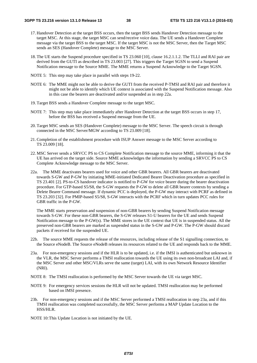- 17. Handover Detection at the target BSS occurs, then the target BSS sends Handover Detection message to the target MSC. At this stage, the target MSC can send/receive voice data. The UE sends a Handover Complete message via the target BSS to the target MSC. If the target MSC is not the MSC Server, then the Target MSC sends an SES (Handover Complete) message to the MSC Server.
- 18. The UE starts the Suspend procedure specified in TS 23.060 [10], clause 16.2.1.1.2. The TLLI and RAI pair are derived from the GUTI as described in TS 23.003 [27]. This triggers the Target SGSN to send a Suspend Notification message to the Source MME. The MME returns a Suspend Acknowledge to the Target SGSN.
- NOTE 5: This step may take place in parallel with steps 19-22.
- NOTE 6: The MME might not be able to derive the GUTI from the received P-TMSI and RAI pair and therefore it might not be able to identify which UE context is associated with the Suspend Notification message. Also in this case the bearers are deactivated and/or suspended as in step 22a.
- 19. Target BSS sends a Handover Complete message to the target MSC.
- NOTE 7: This step may take place immediately after Handover Detection at the target BSS occurs in step 17, before the BSS has received a Suspend message from the UE.
- 20. Target MSC sends an SES (Handover Complete) message to the MSC Server. The speech circuit is through connected in the MSC Server/MGW according to TS 23.009 [18].
- 21. Completion of the establishment procedure with ISUP Answer message to the MSC Server according to TS 23.009 [18].
- 22. MSC Server sends a SRVCC PS to CS Complete Notification message to the source MME, informing it that the UE has arrived on the target side. Source MME acknowledges the information by sending a SRVCC PS to CS Complete Acknowledge message to the MSC Server.
- 22a. The MME deactivates bearers used for voice and other GBR bearers. All GBR bearers are deactivated towards S-GW and P-GW by initiating MME-initiated Dedicated Bearer Deactivation procedure as specified in TS 23.401 [2]. PS-to-CS handover indicator is notified to P-GW for voice bearer during the bearer deactivation procedure. For GTP-based S5/S8, the S-GW requests the P-GW to delete all GBR bearer contexts by sending a Delete Bearer Command message. If dynamic PCC is deployed, the P-GW may interact with PCRF as defined in TS 23.203 [32]. For PMIP-based S5/S8, S-GW interacts with the PCRF which in turn updates PCC rules for GBR traffic in the P-GW.

 The MME starts preservation and suspension of non-GBR bearers by sending Suspend Notification message towards S-GW. For these non-GBR bearers, the S-GW releases S1-U bearers for the UE and sends Suspend Notification message to the P-GW(s). The MME stores in the UE context that UE is in suspended status. All the preserved non-GBR bearers are marked as suspended status in the S-GW and P-GW. The P-GW should discard packets if received for the suspended UE.

- 22b. The source MME requests the release of the resources, including release of the S1 signalling connection, to the Source eNodeB. The Source eNodeB releases its resources related to the UE and responds back to the MME.
- 23a. For non-emergency sessions and if the HLR is to be updated, i.e. if the IMSI is authenticated but unknown in the VLR, the MSC Server performs a TMSI reallocation towards the UE using its own non-broadcast LAI and, if the MSC Server and other MSC/VLRs serve the same (target) LAI, with its own Network Resource Identifier (NRI).
- NOTE 8: The TMSI reallocation is performed by the MSC Server towards the UE via target MSC.
- NOTE 9: For emergency services sessions the HLR will not be updated. TMSI reallocation may be performed based on IMSI presence.
- 23b. For non-emergency sessions and if the MSC Server performed a TMSI reallocation in step 23a, and if this TMSI reallocation was completed successfully, the MSC Server performs a MAP Update Location to the HSS/HLR.
- NOTE 10: This Update Location is not initiated by the UE.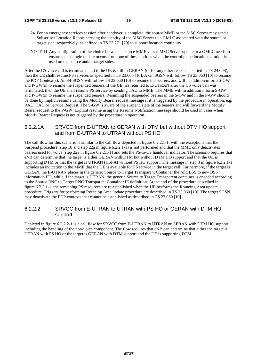- 24. For an emergency services session after handover is complete, the source MME or the MSC Server may send a Subscriber Location Report carrying the identity of the MSC Server to a GMLC associated with the source or target side, respectively, as defined in TS 23.271 [29] to support location continuity.
- NOTE 11: Any configuration of the choice between a source MME versus MSC Server update to a GMLC needs to ensure that a single update occurs from one of these entities when the control plane location solution is used on the source and/or target sides.

After the CS voice call is terminated and if the UE is still in GERAN (or for any other reason specified in TS 24.008), then the UE shall resume PS services as specified in TS 23.060 [10]. A Gn SGSN will follow TS 23.060 [10] to resume the PDP Context(s). An S4-SGSN will follow TS 23.060 [10] to resume the bearers, and will in addition inform S-GW and P-GW(s) to resume the suspended bearers. If the UE has returned to E-UTRAN after the CS voice call was terminated, then the UE shall resume PS service by sending TAU to MME. The MME will in addition inform S-GW and P-GW(s) to resume the suspended bearers. Resuming the suspended bearers in the S-GW and in the P-GW should be done by implicit resume using the Modify Bearer request message if it is triggered by the procedure in operation, e.g. RAU, TAU or Service Request. The S-GW is aware of the suspend state of the bearers and will forward the Modify Bearer request to the P-GW. Explicit resume using the Resume Notification message should be used in cases when Modify Bearer Request is not triggered by the procedure in operation.

#### 6.2.2.1A SRVCC from E-UTRAN to GERAN with DTM but without DTM HO support and from E-UTRAN to UTRAN without PS HO

The call flow for this scenario is similar to the call flow depicted in figure 6.2.2.1-1, with the exceptions that the Suspend procedure (step 18 and step 22a in figure 6.2.2.1-1) is not performed and that the MME only deactivates bearers used for voice (step 22a in figure 6.2.2.1-1) and sets the PS-to-CS handover indicator. The scenario requires that eNB can determine that the target is either GERAN with DTM but without DTM HO support and that the UE is supporting DTM or that the target is UTRAN (HSPA) without PS HO support. The message in step 3 in figure 6.2.2.1-1 includes an indication to the MME that the UE is available for PS service in the target cell. Furthermore, if the target is GERAN, the E-UTRAN places in the generic Source to Target Transparent Container the "old BSS to new BSS information IE", while if the target is UTRAN, the generic Source to Target Transparent container is encoded according to the Source RNC to Target RNC Transparent Container IE definition. At the end of the procedure described in figure 6.2.2.1-1, the remaining PS resources are re-established when the UE performs the Routeing Area update procedure. Triggers for performing Routeing Area update procedure are described in TS 23.060 [10]. The target SGSN may deactivate the PDP contexts that cannot be established as described in TS 23.060 [10].

#### 6.2.2.2 SRVCC from E-UTRAN to UTRAN with PS HO or GERAN with DTM HO support

Depicted in figure 6.2.2.2-1 is a call flow for SRVCC from E-UTRAN to UTRAN or GERAN with DTM HO support, including the handling of the non-voice component. The flow requires that eNB can determine that either the target is UTRAN with PS HO or the target is GERAN with DTM support and the UE is supporting DTM.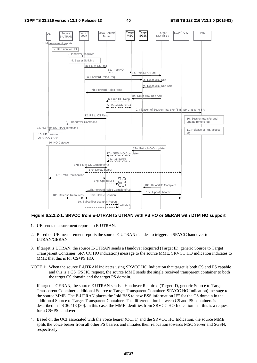

#### **Figure 6.2.2.2-1: SRVCC from E-UTRAN to UTRAN with PS HO or GERAN with DTM HO support**

- 1. UE sends measurement reports to E-UTRAN.
- 2. Based on UE measurement reports the source E-UTRAN decides to trigger an SRVCC handover to UTRAN/GERAN.
- 3. If target is UTRAN, the source E-UTRAN sends a Handover Required (Target ID, generic Source to Target Transparent Container, SRVCC HO indication) message to the source MME. SRVCC HO indication indicates to MME that this is for CS+PS HO.
- NOTE 1: When the source E-UTRAN indicates using SRVCC HO Indication that target is both CS and PS capable and this is a CS+PS HO request, the source MME sends the single received transparent container to both the target CS domain and the target PS domain.

 If target is GERAN, the source E UTRAN sends a Handover Required (Target ID, generic Source to Target Transparent Container, additional Source to Target Transparent Container, SRVCC HO Indication) message to the source MME. The E-UTRAN places the "old BSS to new BSS information IE" for the CS domain in the additional Source to Target Transparent Container. The differentiation between CS and PS containers is described in TS 36.413 [30]. In this case, the MME identifies from SRVCC HO Indication that this is a request for a CS+PS handover.

4. Based on the QCI associated with the voice bearer (QCI 1) and the SRVCC HO Indication, the source MME splits the voice bearer from all other PS bearers and initiates their relocation towards MSC Server and SGSN, respectively.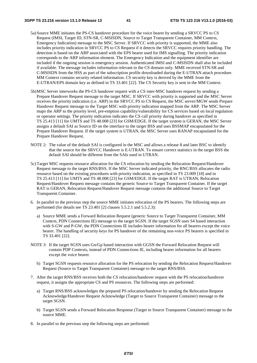- 5a) Source MME initiates the PS-CS handover procedure for the voice bearer by sending a SRVCC PS to CS Request (IMSI, Target ID, STN-SR, C-MSISDN, Source to Target Transparent Container, MM Context, Emergency Indication) message to the MSC Server. If SRVCC with priority is supported, the MME also includes priority indication in SRVCC PS to CS Request if it detects the SRVCC requires priority handling. The detection is based on the ARP associated with the EPS bearer used for IMS signalling. The priority indication corresponds to the ARP information element. The Emergency Indication and the equipment identifier are included if the ongoing session is emergency session. Authenticated IMSI and C-MSISDN shall also be included if available. The message includes information relevant to the CS domain only. MME received STN-SR and C-MSISDN from the HSS as part of the subscription profile downloaded during the E-UTRAN attach procedure. MM Context contains security related information. CS security key is derived by the MME from the E-UTRAN/EPS domain key as defined in TS 33.401 [22]. The CS Security key is sent in the MM Context.
- 5b) MSC Server interworks the PS-CS handover request with a CS inter-MSC handover request by sending a Prepare Handover Request message to the target MSC. If SRVCC with priority is supported and the MSC Server receives the priority indication (i.e. ARP) in the SRVCC PS to CS Request, the MSC server/MGW sends Prepare Handover Request message to the Target MSC with priority indication mapped from the ARP. The MSC Server maps the ARP to the priority level, pre-emption capability/vulnerability for CS services based on local regulation or operator settings. The priority indication indicates the CS call priority during handover as specified in TS 25.413 [11] for UMTS and TS 48.008 [23] for GSM/EDGE. If the target system is GERAN, the MSC Server assigns a default SAI as Source ID on the interface to the target BSS and uses BSSMAP encapsulated for the Prepare Handover Request. If the target system is UTRAN, the MSC Server uses RANAP encapsulated for the Prepare Handover Request.
- NOTE 2: The value of the default SAI is configured in the MSC and allows a release 8 and later BSC to identify that the source for the SRVCC Handover is E-UTRAN. To ensure correct statistics in the target BSS the default SAI should be different from the SAIs used in UTRAN.
- 5c) Target MSC requests resource allocation for the CS relocation by sending the Relocation Request/Handover Request message to the target RNS/BSS. If the MSC Server indicated priority, the RNC/BSS allocates the radio resource based on the existing procedures with priority indication, as specified in TS 23.009 [18] and in TS 25.413 [11] for UMTS and TS 48.008 [23] for GSM/EDGE. If the target RAT is UTRAN, Relocation Request/Handover Request message contains the generic Source to Target Transparent Container. If the target RAT is GERAN, Relocation Request/Handover Request message contains the additional Source to Target Transparent Container.
- 6. In parallel to the previous step the source MME initiates relocation of the PS bearers. The following steps are performed (for details see TS 23.401 [2] clauses 5.5.2.1 and 5.5.2.3):
	- a) Source MME sends a Forward Relocation Request (generic Source to Target Transparent Container, MM Context, PDN Connections IE) message to the target SGSN. If the target SGSN uses S4 based interaction with S-GW and P-GW, the PDN Connections IE includes bearer information for all bearers except the voice bearer. The handling of security keys for PS handover of the remaining non-voice PS bearers is specified in TS 33.401 [22].
- NOTE 3: If the target SGSN uses Gn/Gp based interaction with GGSN the Forward Relocation Request will contain PDP Contexts, instead of PDN Connections IE, including bearer information for all bearers except the voice bearer.
	- b) Target SGSN requests resource allocation for the PS relocation by sending the Relocation Request/Handover Request (Source to Target Transparent Container) message to the target RNS/BSS.
- 7. After the target RNS/BSS receives both the CS relocation/handover request with the PS relocation/handover request, it assigns the appropriate CS and PS resources. The following steps are performed:
	- a) Target RNS/BSS acknowledges the prepared PS relocation/handover by sending the Relocation Request Acknowledge/Handover Request Acknowledge (Target to Source Transparent Container) message to the target SGSN.
	- b) Target SGSN sends a Forward Relocation Response (Target to Source Transparent Container) message to the source MME.
- 8. In parallel to the previous step the following steps are performed: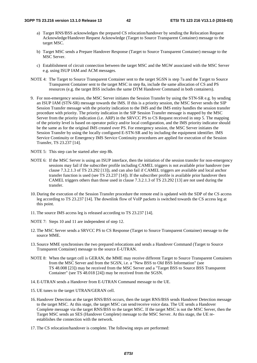- a) Target RNS/BSS acknowledges the prepared CS relocation/handover by sending the Relocation Request Acknowledge/Handover Request Acknowledge (Target to Source Transparent Container) message to the target MSC.
- b) Target MSC sends a Prepare Handover Response (Target to Source Transparent Container) message to the MSC Server.
- c) Establishment of circuit connection between the target MSC and the MGW associated with the MSC Server e.g. using ISUP IAM and ACM messages.
- NOTE 4: The Target to Source Transparent Container sent to the target SGSN is step 7a and the Target to Source Transparent Container sent to the target MSC in step 8a, include the same allocation of CS and PS resources (e.g. the target BSS includes the same DTM Handover Command in both containers).
- 9. For non-emergency session, the MSC Server initiates the Session Transfer by using the STN-SR e.g. by sending an ISUP IAM (STN-SR) message towards the IMS. If this is a priority session, the MSC Server sends the SIP Session Transfer message with the priority indication to the IMS and the IMS entity handles the session transfer procedure with priority. The priority indication in the SIP Session Transfer message is mapped by the MSC Server from the priority indication (i.e. ARP) in the SRVCC PS to CS Request received in step 5. The mapping of the priority level is based on operator policy and/or local configuration, and the IMS priority indicator should be the same as for the original IMS created over PS. For emergency session, the MSC Server initiates the Session Transfer by using the locally configured E-STN-SR and by including the equipment identifier. IMS Service Continuity or Emergency IMS Service Continuity procedures are applied for execution of the Session Transfer, TS 23.237 [14].
- NOTE 5: This step can be started after step 8b.
- NOTE 6: If the MSC Server is using an ISUP interface, then the initiation of the session transfer for non-emergency sessions may fail if the subscriber profile including CAMEL triggers is not available prior handover (see clause 7.3.2.1.3 of TS 23.292 [13]), and can also fail if CAMEL triggers are available and local anchor transfer function is used (see TS 23.237 [14]). If the subscriber profile is available prior handover then CAMEL triggers others than those used in clause 7.3.2.1.3 of TS 23.292 [13] are not used during the transfer.
- 10. During the execution of the Session Transfer procedure the remote end is updated with the SDP of the CS access leg according to TS 23.237 [14]. The downlink flow of VoIP packets is switched towards the CS access leg at this point.
- 11. The source IMS access leg is released according to TS 23.237 [14].
- NOTE 7: Steps 10 and 11 are independent of step 12.
- 12. The MSC Server sends a SRVCC PS to CS Response (Target to Source Transparent Container) message to the source MME.
- 13. Source MME synchronises the two prepared relocations and sends a Handover Command (Target to Source Transparent Container) message to the source E-UTRAN.
- NOTE 8: When the target cell is GERAN, the MME may receive different Target to Source Transparent Containers from the MSC Server and from the SGSN, i.e. a "New BSS to Old BSS Information" (see TS 48.008 [23]) may be received from the MSC Server and a "Target BSS to Source BSS Transparent Container" (see TS 48.018 [24]) may be received from the SGSN.
- 14. E-UTRAN sends a Handover from E-UTRAN Command message to the UE.
- 15. UE tunes to the target UTRAN/GERAN cell.
- 16. Handover Detection at the target RNS/BSS occurs, then the target RNS/BSS sends Handover Detection message to the target MSC. At this stage, the target MSC can send/receive voice data. The UE sends a Handover Complete message via the target RNS/BSS to the target MSC. If the target MSC is not the MSC Server, then the Target MSC sends an SES (Handover Complete) message to the MSC Server. At this stage, the UE reestablishes the connection with the network.
- 17. The CS relocation/handover is complete. The following steps are performed: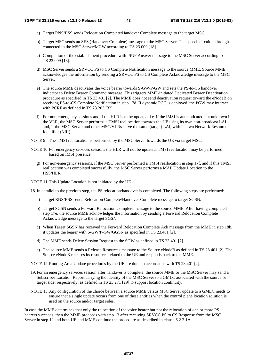- a) Target RNS/BSS sends Relocation Complete/Handover Complete message to the target MSC.
- b) Target MSC sends an SES (Handover Complete) message to the MSC Server. The speech circuit is through connected in the MSC Server/MGW according to TS 23.009 [18].
- c) Completion of the establishment procedure with ISUP Answer message to the MSC Server according to TS 23.009 [18].
- d) MSC Server sends a SRVCC PS to CS Complete Notification message to the source MME. Source MME acknowledges the information by sending a SRVCC PS to CS Complete Acknowledge message to the MSC Server.
- e) The source MME deactivates the voice bearer towards S-GW/P-GW and sets the PS-to-CS handover indicator to Delete Bearer Command message. This triggers MME-initiated Dedicated Bearer Deactivation procedure as specified in TS 23.401 [2]. The MME does not send deactivation request toward the eNodeB on receiving PS-to-CS Complete Notification in step 17d. If dynamic PCC is deployed, the PGW may interact with PCRF as defined in TS 23.203 [32].
- f) For non-emergency sessions and if the HLR is to be updated, i.e. if the IMSI is authenticated but unknown in the VLR, the MSC Server performs a TMSI reallocation towards the UE using its own non-broadcast LAI and, if the MSC Server and other MSC/VLRs serve the same (target) LAI, with its own Network Resource Identifier (NRI).
- NOTE 9: The TMSI reallocation is performed by the MSC Server towards the UE via target MSC.
- NOTE 10: For emergency services sessions the HLR will not be updated. TMSI reallocation may be performed based on IMSI presence.
	- g) For non-emergency sessions, if the MSC Server performed a TMSI reallocation in step 17f, and if this TMSI reallocation was completed successfully, the MSC Server performs a MAP Update Location to the HSS/HLR.

NOTE 11: This Update Location is not initiated by the UE.

18. In parallel to the previous step, the PS relocation/handover is completed. The following steps are performed:

- a) Target RNS/BSS sends Relocation Complete/Handover Complete message to target SGSN.
- b) Target SGSN sends a Forward Relocation Complete message to the source MME. After having completed step 17e, the source MME acknowledges the information by sending a Forward Relocation Complete Acknowledge message to the target SGSN.
- c) When Target SGSN has received the Forward Relocation Complete Ack message from the MME in step 18b, it updates the bearer with S-GW/P-GW/GGSN as specified in TS 23.401 [2].
- d) The MME sends Delete Session Request to the SGW as defined in TS 23.401 [2].
- e) The source MME sends a Release Resources message to the Source eNodeB as defined in TS 23.401 [2]. The Source eNodeB releases its resources related to the UE and responds back to the MME.

NOTE 12: Routing Area Update procedures by the UE are done in accordance with TS 23.401 [2].

- 19. For an emergency services session after handover is complete, the source MME or the MSC Server may send a Subscriber Location Report carrying the identity of the MSC Server to a GMLC associated with the source or target side, respectively, as defined in TS 23.271 [29] to support location continuity.
- NOTE 13: Any configuration of the choice between a source MME versus MSC Server update to a GMLC needs to ensure that a single update occurs from one of these entities when the control plane location solution is used on the source and/or target sides.

In case the MME determines that only the relocation of the voice bearer but not the relocation of one or more PS bearers succeeds, then the MME proceeds with step 13 after receiving SRVCC PS to CS Response from the MSC Server in step 12 and both UE and MME continue the procedure as described in clause 6.2.2.1A.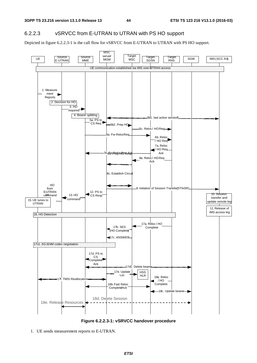#### 6.2.2.3 vSRVCC from E-UTRAN to UTRAN with PS HO support

Depicted in figure 6.2.2.3-1 is the call flow for vSRVCC from E-UTRAN to UTRAN with PS HO support.



**Figure 6.2.2.3-1: vSRVCC handover procedure** 

1. UE sends measurement reports to E-UTRAN.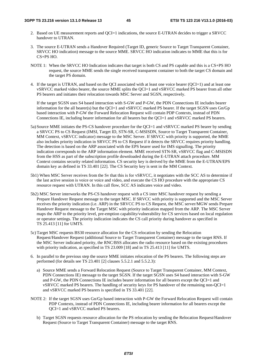- 2. Based on UE measurement reports and QCI=1 indications, the source E-UTRAN decides to trigger a SRVCC handover to UTRAN.
- 3. The source E-UTRAN sends a Handover Required (Target ID, generic Source to Target Transparent Container, SRVCC HO indication) message to the source MME. SRVCC HO indication indicates to MME that this is for CS+PS HO.
- NOTE 1: When the SRVCC HO Indication indicates that target is both CS and PS capable and this is a CS+PS HO request, the source MME sends the single received transparent container to both the target CS domain and the target PS domain.
- 4. If the target is UTRAN, and based on the QCI associated with at least one voice bearer (QCI=1) and at least one vSRVCC marked video bearer, the source MME splits the QCI=1 and vSRVCC marked PS bearer from all other PS bearers and initiates their relocation towards MSC Server and SGSN, respectively.

 If the target SGSN uses S4 based interaction with S-GW and P-GW, the PDN Connections IE includes bearer information for the all bearer(s) but the QCI=1 and vSRVCC marked PS bearer. If the target SGSN uses  $Gn/Gp$ based interaction with P-GW the Forward Relocation Request will contain PDP Contexts, instead of PDN Connections IE, including bearer information for all bearers but the QCI=1 and vSRVCC marked PS bearers.

- 5a) Source MME initiates the PS-CS handover procedure for the QCI=1 and vSRVCC marked PS bearer by sending a SRVCC PS to CS Request (IMSI, Target ID, STN-SR, C-MSISDN, Source to Target Transparent Container, MM Context, vSRVCC indicator) message to the MSC Server. If SRVCC with priority is supported, the MME also includes priority indication in SRVCC PS to CS Request if it detects the SRVCC requires priority handling. The detection is based on the ARP associated with the EPS bearer used for IMS signalling. The priority indication corresponds to the ARP information element. MME received STN-SR, vSRVCC flag and C-MSISDN from the HSS as part of the subscription profile downloaded during the E-UTRAN attach procedure. MM Context contains security related information. CS security key is derived by the MME from the E-UTRAN/EPS domain key as defined in TS 33.401 [22]. The CS Security key is sent in the MM Context.
- 5b1) When MSC Server receives from the Sv that this is for vSRVCC, it negotiates with the SCC AS to determine if the last active session is voice or voice and video, and execute the CS HO procedure with the appropriate CS resource request with UTRAN. In this call flow, SCC AS indicates voice and video.
- 5b2) MSC Server interworks the PS-CS handover request with a CS inter MSC handover request by sending a Prepare Handover Request message to the target MSC. If SRVCC with priority is supported and the MSC Server receives the priority indication (i.e. ARP) in the SRVCC PS to CS Request, the MSC server/MGW sends Prepare Handover Request message to the Target MSC with priority indication mapped from the ARP. The MSC Server maps the ARP to the priority level, pre-emption capability/vulnerability for CS services based on local regulation or operator settings. The priority indication indicates the CS call priority during handover as specified in TS 25.413 [11] for UMTS.
- 5c) Target MSC requests BS30 resource allocation for the CS relocation by sending the Relocation Request/Handover Request (additional Source to Target Transparent Container) message to the target RNS. If the MSC Server indicated priority, the RNC/BSS allocates the radio resource based on the existing procedures with priority indication, as specified in TS 23.009 [18] and in TS 25.413 [11] for UMTS.
- 6. In parallel to the previous step the source MME initiates relocation of the PS bearers. The following steps are performed (for details see TS 23.401 [2] clauses 5.5.2.1 and 5.5.2.3):
	- a) Source MME sends a Forward Relocation Request (Source to Target Transparent Container, MM Context, PDN Connections IE) message to the target SGSN. If the target SGSN uses S4 based interaction with S-GW and P-GW, the PDN Connections IE includes bearer information for all bearers except the QCI=1 and vSRVCC marked PS bearers. The handling of security keys for PS handover of the remaining non-QCI=1 and vSRVCC marked PS bearers is specified in TS 33.401 [22].
- NOTE 2: If the target SGSN uses Gn/Gp based interaction with P-GW the Forward Relocation Request will contain PDP Contexts, instead of PDN Connections IE, including bearer information for all bearers except the QCI=1 and vSRVCC marked PS bearers.
	- b) Target SGSN requests resource allocation for the PS relocation by sending the Relocation Request/Handover Request (Source to Target Transparent Container) message to the target RNS.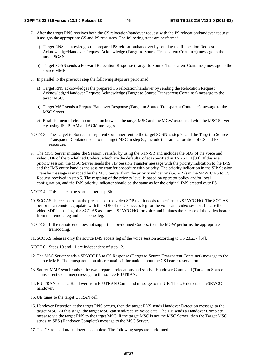- 7. After the target RNS receives both the CS relocation/handover request with the PS relocation/handover request, it assigns the appropriate CS and PS resources. The following steps are performed:
	- a) Target RNS acknowledges the prepared PS relocation/handover by sending the Relocation Request Acknowledge/Handover Request Acknowledge (Target to Source Transparent Container) message to the target SGSN.
	- b) Target SGSN sends a Forward Relocation Response (Target to Source Transparent Container) message to the source MME.
- 8. In parallel to the previous step the following steps are performed:
	- a) Target RNS acknowledges the prepared CS relocation/handover by sending the Relocation Request Acknowledge/Handover Request Acknowledge (Target to Source Transparent Container) message to the target MSC.
	- b) Target MSC sends a Prepare Handover Response (Target to Source Transparent Container) message to the MSC Server.
	- c) Establishment of circuit connection between the target MSC and the MGW associated with the MSC Server e.g. using ISUP IAM and ACM messages.
- NOTE 3: The Target to Source Transparent Container sent to the target SGSN is step 7a and the Target to Source Transparent Container sent to the target MSC in step 8a, include the same allocation of CS and PS resources.
- 9. The MSC Server initiates the Session Transfer by using the STN-SR and includes the SDP of the voice and video SDP of the predefined Codecs, which are the default Codecs specified in TS 26.111 [34]. If this is a priority session, the MSC Server sends the SIP Session Transfer message with the priority indication to the IMS and the IMS entity handles the session transfer procedure with priority. The priority indication in the SIP Session Transfer message is mapped by the MSC Server from the priority indication (i.e. ARP) in the SRVCC PS to CS Request received in step 5. The mapping of the priority level is based on operator policy and/or local configuration, and the IMS priority indicator should be the same as for the original IMS created over PS.
- NOTE 4: This step can be started after step 8b.
- 10. SCC AS detects based on the presence of the video SDP that it needs to perform a vSRVCC HO. The SCC AS performs a remote leg update with the SDP of the CS access leg for the voice and video session. In case the video SDP is missing, the SCC AS assumes a SRVCC HO for voice and initiates the release of the video bearer from the remote leg and the access leg.
- NOTE 5: If the remote end does not support the predefined Codecs, then the MGW performs the appropriate transcoding.
- 11. SCC AS releases only the source IMS access leg of the voice session according to TS 23.237 [14].
- NOTE 6: Steps 10 and 11 are independent of step 12.
- 12. The MSC Server sends a SRVCC PS to CS Response (Target to Source Transparent Container) message to the source MME. The transparent container contains information about the CS bearer reservation.
- 13. Source MME synchronises the two prepared relocations and sends a Handover Command (Target to Source Transparent Container) message to the source E-UTRAN.
- 14. E-UTRAN sends a Handover from E-UTRAN Command message to the UE. The UE detects the vSRVCC handover.
- 15. UE tunes to the target UTRAN cell.
- 16. Handover Detection at the target RNS occurs, then the target RNS sends Handover Detection message to the target MSC. At this stage, the target MSC can send/receive voice data. The UE sends a Handover Complete message via the target RNS to the target MSC. If the target MSC is not the MSC Server, then the Target MSC sends an SES (Handover Complete) message to the MSC Server.
- 17. The CS relocation/handover is complete. The following steps are performed: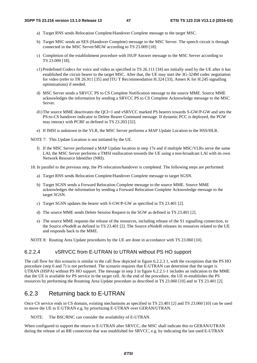- a) Target RNS sends Relocation Complete/Handover Complete message to the target MSC.
- b) Target MSC sends an SES (Handover Complete) message to the MSC Server. The speech circuit is through connected in the MSC Server/MGW according to TS 23.009 [18].
- c) Completion of the establishment procedure with ISUP Answer message to the MSC Server according to TS 23.009 [18].
- c1) Predefined Codecs for voice and video as specified in TS 26.111 [34] are initially used by the UE after it has established the circuit bearer to the target MSC. After that, the UE may start the 3G-324M codec negotiation for video (refer to TR 26.911 [35] and ITU T Recommendation H.324 [33], Annex K for H.245 signalling optimizations) if needed.
- d) MSC Server sends a SRVCC PS to CS Complete Notification message to the source MME. Source MME acknowledges the information by sending a SRVCC PS to CS Complete Acknowledge message to the MSC Server.
- d1) The source MME deactivates the QCI=1 and vSRVCC marked PS bearers towards S-GW/P-GW and sets the PS-to-CS handover indicator to Delete Bearer Command message. If dynamic PCC is deployed, the PGW may interact with PCRF as defined in TS 23.203 [32].
- e) If IMSI is unknown in the VLR, the MSC Server performs a MAP Update Location to the HSS/HLR.

NOTE 7: This Update Location is not initiated by the UE.

f) If the MSC Server performed a MAP Update location in step 17e and if multiple MSC/VLRs serve the same LAI, the MSC Server performs a TMSI reallocation towards the UE using a non-broadcast LAI with its own Network Resource Identifier (NRI).

18. In parallel to the previous step, the PS relocation/handover is completed. The following steps are performed:

- a) Target RNS sends Relocation Complete/Handover Complete message to target SGSN.
- b) Target SGSN sends a Forward Relocation Complete message to the source MME. Source MME acknowledges the information by sending a Forward Relocation Complete Acknowledge message to the target SGSN.
- c) Target SGSN updates the bearer with S-GW/P-GW as specified in TS 23.401 [2].
- d) The source MME sends Delete Session Request to the SGW as defined in TS 23.401 [2].
- e) The source MME requests the release of the resources, including release of the S1 signalling connection, to the Source eNodeB as defined in TS 23.401 [2]. The Source eNodeB releases its resources related to the UE and responds back to the MME.

NOTE 8: Routing Area Update procedures by the UE are done in accordance with TS 23.060 [10].

#### 6.2.2.4 vSRVCC from E-UTRAN to UTRAN without PS HO support

The call flow for this scenario is similar to the call flow depicted in figure 6.2.2.3 1, with the exceptions that the PS HO procedure (step 6 and 7) is not performed. The scenario requires that E-UTRAN can determine that the target is UTRAN (HSPA) without PS HO support. The message in step 3 in figure 6.2.2.1-1 includes an indication to the MME that the UE is available for PS service in the target cell. At the end of the procedure, the UE re-establishes the PS resources by performing the Routeing Area Update procedure as described in TS 23.060 [10] and in TS 23.401 [2].

## 6.2.3 Returning back to E-UTRAN

Once CS service ends in CS domain, existing mechanisms as specified in TS 23.401 [2] and TS 23.060 [10] can be used to move the UE to E-UTRAN e.g. by prioritizing E-UTRAN over GERAN/UTRAN.

NOTE: The BSC/RNC can consider the availability of E-UTRAN.

When configured to support the return to E-UTRAN after SRVCC, the MSC shall indicate this to GERAN/UTRAN during the release of an RR connection that was established for SRVCC, e.g. by indicating the last used E-UTRAN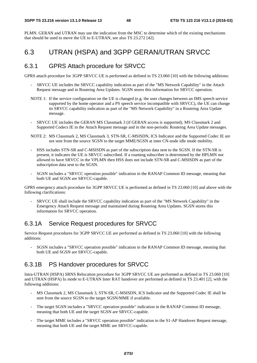PLMN. GERAN and UTRAN may use the indication from the MSC to determine which of the existing mechanisms that should be used to move the UE to E-UTRAN, see also TS 23.272 [42].

## 6.3 UTRAN (HSPA) and 3GPP GERAN/UTRAN SRVCC

#### 6.3.1 GPRS Attach procedure for SRVCC

GPRS attach procedure for 3GPP SRVCC UE is performed as defined in TS 23.060 [10] with the following additions:

- SRVCC UE includes the SRVCC capability indication as part of the "MS Network Capability" in the Attach Request message and in Routeing Area Updates. SGSN stores this information for SRVCC operation.
- NOTE 1: If the service configuration on the UE is changed (e.g. the user changes between an IMS speech service supported by the home operator and a PS speech service incompatible with SRVCC), the UE can change its SRVCC capability indication as part of the "MS Network Capability" in a Routeing Area Update message.
- SRVCC UE includes the GERAN MS Classmark 3 (if GERAN access is supported), MS Classmark 2 and Supported Codecs IE in the Attach Request message and in the non-periodic Routeing Area Update messages.
- NOTE 2: MS Classmark 2, MS Classmark 3, STN-SR, C-MSISDN, ICS Indicator and the Supported Codec IE are not sent from the source SGSN to the target MME/SGSN at inter CN-node idle mode mobility.
- HSS includes STN-SR and C-MSISDN as part of the subscription data sent to the SGSN. If the STN-SR is present, it indicates the UE is SRVCC subscribed. If a roaming subscriber is determined by the HPLMN not allowed to have SRVCC in the VPLMN then HSS does not include STN-SR and C-MSISDN as part of the subscription data sent to the SGSN.
- SGSN includes a "SRVCC operation possible" indication in the RANAP Common ID message, meaning that both UE and SGSN are SRVCC-capable.

GPRS emergency attach procedure for 3GPP SRVCC UE is performed as defined in TS 23.060 [10] and above with the following clarifications:

- SRVCC UE shall include the SRVCC capability indication as part of the "MS Network Capability" in the Emergency Attach Request message and maintained during Routeing Area Updates. SGSN stores this information for SRVCC operation.

### 6.3.1A Service Request procedures for SRVCC

Service Request procedures for 3GPP SRVCC UE are performed as defined in TS 23.060 [10] with the following additions:

- SGSN includes a "SRVCC operation possible" indication in the RANAP Common ID message, meaning that both UE and SGSN are SRVCC-capable.

#### 6.3.1B PS Handover procedures for SRVCC

Intra-UTRAN (HSPA) SRNS Relocation procedure for 3GPP SRVCC UE are performed as defined in TS 23.060 [10] and UTRAN (HSPA) Iu mode to E-UTRAN Inter RAT handover are performed as defined in TS 23.401 [2], with the following additions:

- MS Classmark 2, MS Classmark 3, STN-SR, C-MSISDN, ICS Indicator and the Supported Codec IE shall be sent from the source SGSN to the target SGSN/MME if available.
- The target SGSN includes a "SRVCC operation possible" indication in the RANAP Common ID message, meaning that both UE and the target SGSN are SRVCC-capable.
- The target MME includes a "SRVCC operation possible" indication in the S1-AP Handover Request message, meaning that both UE and the target MME are SRVCC-capable.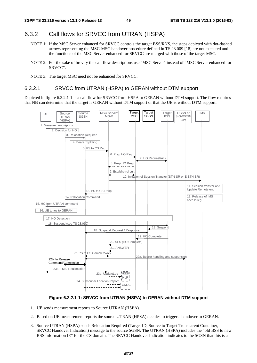#### 6.3.2 Call flows for SRVCC from UTRAN (HSPA)

- NOTE 1: If the MSC Server enhanced for SRVCC controls the target BSS/RNS, the steps depicted with dot-dashed arrows representing the MSC-MSC handover procedure defined in TS 23.009 [18] are not executed and the functions of the MSC Server enhanced for SRVCC are merged with those of the target MSC.
- NOTE 2: For the sake of brevity the call flow descriptions use "MSC Server" instead of "MSC Server enhanced for SRVCC".
- NOTE 3: The target MSC need not be enhanced for SRVCC.

#### 6.3.2.1 SRVCC from UTRAN (HSPA) to GERAN without DTM support

Depicted in figure 6.3.2.1-1 is a call flow for SRVCC from HSPA to GERAN without DTM support. The flow requires that NB can determine that the target is GERAN without DTM support or that the UE is without DTM support.





- 1. UE sends measurement reports to Source UTRAN (HSPA).
- 2. Based on UE measurement reports the source UTRAN (HPSA) decides to trigger a handover to GERAN.
- 3. Source UTRAN (HSPA) sends Relocation Required (Target ID, Source to Target Transparent Container, SRVCC Handover Indication) message to the source SGSN. The UTRAN (HSPA) includes the "old BSS to new BSS information IE" for the CS domain. The SRVCC Handover Indication indicates to the SGSN that this is a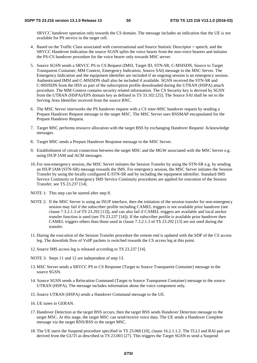SRVCC handover operation only towards the CS domain. The message includes an indication that the UE is not available for PS service in the target cell.

- 4. Based on the Traffic Class associated with conversational and Source Statistic Descriptor = speech, and the SRVCC Handover Indication the source SGSN splits the voice bearer from the non-voice bearers and initiates the PS-CS handover procedure for the voice bearer only towards MSC server.
- 5. Source SGSN sends a SRVCC PS to CS Request (IMSI, Target ID, STN-SR, C-MSISDN, Source to Target Transparent Container, MM Context, Emergency Indication, Source SAI) message to the MSC Server. The Emergency Indication and the equipment identifier are included if an ongoing session is an emergency session. Authenticated IMSI and C-MSISDN shall also be included if available. SGSN received the STN-SR and C-MSISDN from the HSS as part of the subscription profile downloaded during the UTRAN (HSPA) attach procedure. The MM Context contains security related information. The CS Security key is derived by SGSN from the UTRAN (HSPA)/EPS domain key as defined in TS 33.102 [25]. The Source SAI shall be set to the Serving Area Identifier received from the source RNC.
- 6. The MSC Server interworks the PS handover request with a CS inter-MSC handover request by sending a Prepare Handover Request message to the target MSC. The MSC Server uses BSSMAP encapsulated for the Prepare Handover Request.
- 7. Target MSC performs resource allocation with the target BSS by exchanging Handover Request/ Acknowledge messages.
- 8. Target MSC sends a Prepare Handover Response message to the MSC Server.
- 9. Establishment of circuit connection between the target MSC and the MGW associated with the MSC Server e.g. using ISUP IAM and ACM messages.
- 10. For non-emergency session, the MSC Server initiates the Session Transfer by using the STN-SR e.g. by sending an ISUP IAM (STN-SR) message towards the IMS. For emergency session, the MSC Server initiates the Session Transfer by using the locally configured E-STN-SR and by including the equipment identifier. Standard IMS Service Continuity or Emergency IMS Service Continuity procedures are applied for execution of the Session Transfer, see TS 23.237 [14].
- NOTE 1: This step can be started after step 8.
- NOTE 2: If the MSC Server is using an ISUP interface, then the initiation of the session transfer for non-emergency session may fail if the subscriber profile including CAMEL triggers is not available prior handover (see clause 7.3.2.1.3 of TS 23.292 [13]), and can also fail if CAMEL triggers are available and local anchor transfer function is used (see TS 23.237 [14]). If the subscriber profile is available prior handover then CAMEL triggers others than those used in clause 7.3.2.1.3 of TS 23.292 [13] are not used during the transfer.
- 11. During the execution of the Session Transfer procedure the remote end is updated with the SDP of the CS access leg. The downlink flow of VoIP packets is switched towards the CS access leg at this point.
- 12. Source IMS access leg is released according to TS 23.237 [14].
- NOTE 3: Steps 11 and 12 are independent of step 13.
- 13. MSC Server sends a SRVCC PS to CS Response (Target to Source Transparent Container) message to the source SGSN.
- 14. Source SGSN sends a Relocation Command (Target to Source Transparent Container) message to the source UTRAN (HSPA). The message includes information about the voice component only.
- 15. Source UTRAN (HSPA) sends a Handover Command message to the UE.
- 16. UE tunes to GERAN.
- 17. Handover Detection at the target BSS occurs, then the target BSS sends Handover Detection message to the target MSC. At this stage, the target MSC can send/receive voice data. The UE sends a Handover Complete message via the target RNS/BSS to the target MSC.
- 18. The UE starts the Suspend procedure specified in TS 23.060 [10], clause 16.2.1.1.2. The TLLI and RAI pair are derived from the GUTI as described in TS 23.003 [27]. This triggers the Target SGSN to send a Suspend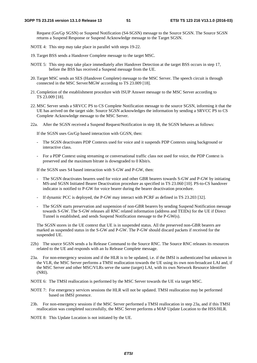Request (Gn/Gp SGSN) or Suspend Notification (S4-SGSN) message to the Source SGSN. The Source SGSN returns a Suspend Response or Suspend Acknowledge message to the Target SGSN.

- NOTE 4: This step may take place in parallel with steps 19-22.
- 19. Target BSS sends a Handover Complete message to the target MSC.
- NOTE 5: This step may take place immediately after Handover Detection at the target BSS occurs in step 17, before the BSS has received a Suspend message from the UE.
- 20. Target MSC sends an SES (Handover Complete) message to the MSC Server. The speech circuit is through connected in the MSC Server/MGW according to TS 23.009 [18].
- 21. Completion of the establishment procedure with ISUP Answer message to the MSC Server according to TS 23.009 [18].
- 22. MSC Server sends a SRVCC PS to CS Complete Notification message to the source SGSN, informing it that the UE has arrived on the target side. Source SGSN acknowledges the information by sending a SRVCC PS to CS Complete Acknowledge message to the MSC Server.
- 22a. After the SGSN received a Suspend Request/Notification in step 18, the SGSN behaves as follows:

If the SGSN uses Gn/Gp based interaction with GGSN, then:

- The SGSN deactivates PDP Contexts used for voice and it suspends PDP Contexts using background or interactive class.
- For a PDP Context using streaming or conversational traffic class not used for voice, the PDP Context is preserved and the maximum bitrate is downgraded to 0 Kbit/s.

If the SGSN uses S4 based interaction with S-GW and P-GW, then:

- The SGSN deactivates bearers used for voice and other GBR bearers towards S-GW and P-GW by initiating MS-and SGSN Initiated Bearer Deactivation procedure as specified in TS 23.060 [10]. PS-to-CS handover indicator is notified to P-GW for voice bearer during the bearer deactivation procedure.
- If dynamic PCC is deployed, the P-GW may interact with PCRF as defined in TS 23.203 [32].
- The SGSN starts preservation and suspension of non-GBR bearers by sending Suspend Notification message towards S-GW. The S-GW releases all RNC related information (address and TEIDs) for the UE if Direct Tunnel is established, and sends Suspend Notification message to the P-GW(s).

 The SGSN stores in the UE context that UE is in suspended status. All the preserved non-GBR bearers are marked as suspended status in the S-GW and P-GW. The P-GW should discard packets if received for the suspended UE.

- 22b) The source SGSN sends a Iu Release Command to the Source RNC. The Source RNC releases its resources related to the UE and responds with an Iu Release Complete message.
- 23a. For non-emergency sessions and if the HLR is to be updated, i.e. if the IMSI is authenticated but unknown in the VLR, the MSC Server performs a TMSI reallocation towards the UE using its own non-broadcast LAI and, if the MSC Server and other MSC/VLRs serve the same (target) LAI, with its own Network Resource Identifier (NRI).
- NOTE 6: The TMSI reallocation is performed by the MSC Server towards the UE via target MSC.
- NOTE 7: For emergency services sessions the HLR will not be updated. TMSI reallocation may be performed based on IMSI presence.
- 23b. For non-emergency sessions if the MSC Server performed a TMSI reallocation in step 23a, and if this TMSI reallocation was completed successfully, the MSC Server performs a MAP Update Location to the HSS/HLR.

NOTE 8: This Update Location is not initiated by the UE.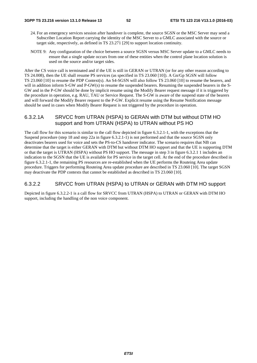- 24. For an emergency services session after handover is complete, the source SGSN or the MSC Server may send a Subscriber Location Report carrying the identity of the MSC Server to a GMLC associated with the source or target side, respectively, as defined in TS 23.271 [29] to support location continuity.
- NOTE 9: Any configuration of the choice between a source SGSN versus MSC Server update to a GMLC needs to ensure that a single update occurs from one of these entities when the control plane location solution is used on the source and/or target sides.

After the CS voice call is terminated and if the UE is still in GERAN or UTRAN (or for any other reason according to TS 24.008), then the UE shall resume PS services (as specified in TS 23.060 [10]). A Gn/Gp SGSN will follow TS 23.060 [10] to resume the PDP Context(s). An S4-SGSN will also follow TS 23.060 [10] to resume the bearers, and will in addition inform S-GW and P-GW(s) to resume the suspended bearers. Resuming the suspended bearers in the S-GW and in the P-GW should be done by implicit resume using the Modify Bearer request message if it is triggered by the procedure in operation, e.g. RAU, TAU or Service Request. The S-GW is aware of the suspend state of the bearers and will forward the Modify Bearer request to the P-GW. Explicit resume using the Resume Notification message should be used in cases when Modify Bearer Request is not triggered by the procedure in operation.

#### 6.3.2.1A SRVCC from UTRAN (HSPA) to GERAN with DTM but without DTM HO support and from UTRAN (HSPA) to UTRAN without PS HO

The call flow for this scenario is similar to the call flow depicted in figure 6.3.2.1-1, with the exceptions that the Suspend procedure (step 18 and step 22a in figure 6.3.2.1-1) is not performed and that the source SGSN only deactivates bearers used for voice and sets the PS-to-CS handover indicator. The scenario requires that NB can determine that the target is either GERAN with DTM but without DTM HO support and that the UE is supporting DTM or that the target is UTRAN (HSPA) without PS HO support. The message in step 3 in figure 6.3.2.1 1 includes an indication to the SGSN that the UE is available for PS service in the target cell. At the end of the procedure described in figure 6.3.2.1-1, the remaining PS resources are re-established when the UE performs the Routeing Area update procedure. Triggers for performing Routeing Area update procedure are described in TS 23.060 [10]. The target SGSN may deactivate the PDP contexts that cannot be established as described in TS 23.060 [10].

#### 6.3.2.2 SRVCC from UTRAN (HSPA) to UTRAN or GERAN with DTM HO support

Depicted in figure 6.3.2.2-1 is a call flow for SRVCC from UTRAN (HSPA) to UTRAN or GERAN with DTM HO support, including the handling of the non voice component.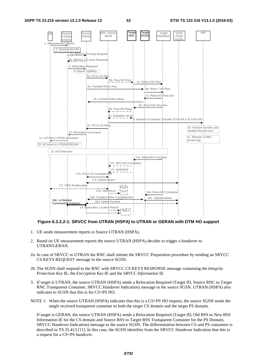

#### **Figure 6.3.2.2-1: SRVCC from UTRAN (HSPA) to UTRAN or GERAN with DTM HO support**

- 1. UE sends measurement reports to Source UTRAN (HSPA).
- 2. Based on UE measurement reports the source UTRAN (HSPA) decides to trigger a handover to UTRAN/GERAN.
- 2a. In case of SRVCC to UTRAN the RNC shall initiate the SRVCC Preparation procedure by sending an SRVCC CS KEYS REQUEST message to the source SGSN.
- 2b. The SGSN shall respond to the RNC with SRVCC CS KEYS RESPONSE message containing the *Integrity Protection Key* IE, the *Encryption Key* IE and the *SRVCC Information* IE.
- 3. If target is UTRAN, the source UTRAN (HSPA) sends a Relocation Required (Target ID, Source RNC to Target RNC Transparent Container, SRVCC Handover Indication) message to the source SGSN. UTRAN (HSPA) also indicates to SGSN that this is for CS+PS HO.
- NOTE 1: When the source UTRAN (HSPA) indicates that this is a CS+PS HO request, the source SGSN sends the single received transparent container to both the target CS domain and the target PS domain.

 If target is GERAN, the source UTRAN (HSPA) sends a Relocation Required (Target ID, Old BSS to New BSS Information IE for the CS domain and Source BSS to Target BSS Transparent Container for the PS Domain, SRVCC Handover Indication) message to the source SGSN. The differentiation between CS and PS containers is described in TS 25.413 [11]. In this case, the SGSN identifies from the SRVCC Handover Indication that this is a request for a CS+PS handover.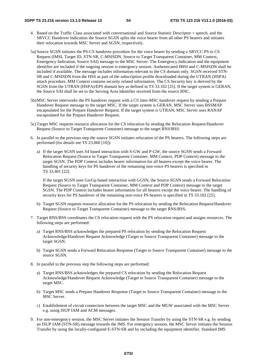- 4. Based on the Traffic Class associated with conversational and Source Statistic Descriptor = speech, and the SRVCC Handover Indication the Source SGSN splits the voice bearer from all other PS bearers and initiates their relocation towards MSC Server and SGSN, respectively.
- 5a) Source SGSN initiates the PS-CS handover procedure for the voice bearer by sending a SRVCC PS to CS Request (IMSI, Target ID, STN-SR, C-MSISDN, Source to Target Transparent Container, MM Context, Emergency Indication, Source SAI) message to the MSC Server. The Emergency Indication and the equipment identifier are included if the ongoing session is emergency session. Authenticated IMSI and C-MSISDN shall be included if available. The message includes information relevant to the CS domain only. SGSN received STN-SR and C-MSISDN from the HSS as part of the subscription profile downloaded during the UTRAN (HSPA) attach procedure. MM Context contains security related information. The CS Security key is derived by the SGSN from the UTRAN (HSPA)/EPS domain key as defined in TS 33.102 [25]. If the target system is GERAN, the Source SAI shall be set to the Serving Area Identifier received from the source RNC.
- 5b) MSC Server interworks the PS handover request with a CS inter-MSC handover request by sending a Prepare Handover Request message to the target MSC. If the target system is GERAN, MSC Server uses BSSMAP encapsulated for the Prepare Handover Request. If the target system is UTRAN, MSC Server uses RANAP encapsulated for the Prepare Handover Request.
- 5c) Target MSC requests resource allocation for the CS relocation by sending the Relocation Request/Handover Request (Source to Target Transparent Container) message to the target RNS/BSS.
- 6. In parallel to the previous step the source SGSN initiates relocation of the PS bearers. The following steps are performed (for details see TS 23.060 [10]):
	- a) If the target SGSN uses S4 based interaction with S-GW and P-GW, the source SGSN sends a Forward Relocation Request (Source to Target Transparent Container, MM Context, PDP Context) message to the target SGSN. The PDP Context includes bearer information for all bearers except the voice bearer. The handling of security keys for PS handover of the remaining non-voice PS bearers is specified in TS 33.401 [22].

 If the target SGSN uses Gn/Gp based interaction with GGSN, the Source SGSN sends a Forward Relocation Request (Source to Target Transparent Container, MM Context and PDP Context) message to the target SGSN. The PDP Context includes bearer information for all bearers except the voice bearer. The handling of security keys for PS handover of the remaining non-voice PS bearers is specified in TS 33.102 [25].

- b) Target SGSN requests resource allocation for the PS relocation by sending the Relocation Request/Handover Request (Source to Target Transparent Container) message to the target RNS/BSS.
- 7. Target RNS/BSS coordinates the CS relocation request with the PS relocation request and assigns resources. The following steps are performed:
	- a) Target RNS/BSS acknowledges the prepared PS relocation by sending the Relocation Request Acknowledge/Handover Request Acknowledge (Target to Source Transparent Container) message to the target SGSN.
	- b) Target SGSN sends a Forward Relocation Response (Target to Source Transparent Container) message to the source SGSN.
- 8. In parallel to the previous step the following steps are performed:
	- a) Target RNS/BSS acknowledges the prepared CS relocation by sending the Relocation Request Acknowledge/Handover Request Acknowledge (Target to Source Transparent Container) message to the target MSC.
	- b) Target MSC sends a Prepare Handover Response (Target to Source Transparent Container) message to the MSC Server.
	- c) Establishment of circuit connection between the target MSC and the MGW associated with the MSC Server e.g. using ISUP IAM and ACM messages.
- 9. For non-emergency session, the MSC Server initiates the Session Transfer by using the STN-SR e.g. by sending an ISUP IAM (STN-SR) message towards the IMS. For emergency session, the MSC Server initiates the Session Transfer by using the locally-configured E-STN-SR and by including the equipment identifier. Standard IMS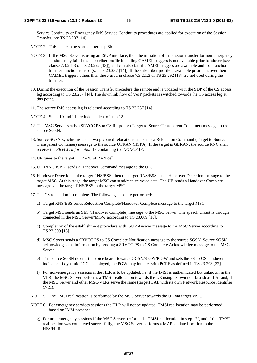Service Continuity or Emergency IMS Service Continuity procedures are applied for execution of the Session Transfer, see TS 23.237 [14].

- NOTE 2: This step can be started after step 8b.
- NOTE 3: If the MSC Server is using an ISUP interface, then the initiation of the session transfer for non-emergency sessions may fail if the subscriber profile including CAMEL triggers is not available prior handover (see clause 7.3.2.1.3 of TS 23.292 [13]), and can also fail if CAMEL triggers are available and local anchor transfer function is used (see TS 23.237 [14]). If the subscriber profile is available prior handover then CAMEL triggers others than those used in clause 7.3.2.1.3 of TS 23.292 [13] are not used during the transfer.
- 10. During the execution of the Session Transfer procedure the remote end is updated with the SDP of the CS access leg according to TS 23.237 [14]. The downlink flow of VoIP packets is switched towards the CS access leg at this point.
- 11. The source IMS access leg is released according to TS 23.237 [14].
- NOTE 4: Steps 10 and 11 are independent of step 12.
- 12. The MSC Server sends a SRVCC PS to CS Response (Target to Source Transparent Container) message to the source SGSN.
- 13. Source SGSN synchronises the two prepared relocations and sends a Relocation Command (Target to Source Transparent Container) message to the source UTRAN (HSPA). If the target is GERAN, the source RNC shall receive the *SRVCC Information* IE containing the *NONCE* IE.
- 14. UE tunes to the target UTRAN/GERAN cell.
- 15. UTRAN (HSPA) sends a Handover Command message to the UE.
- 16. Handover Detection at the target RNS/BSS, then the target RNS/BSS sends Handover Detection message to the target MSC. At this stage, the target MSC can send/receive voice data. The UE sends a Handover Complete message via the target RNS/BSS to the target MSC.
- 17. The CS relocation is complete. The following steps are performed:
	- a) Target RNS/BSS sends Relocation Complete/Handover Complete message to the target MSC.
	- b) Target MSC sends an SES (Handover Complete) message to the MSC Server. The speech circuit is through connected in the MSC Server/MGW according to TS 23.009 [18].
	- c) Completion of the establishment procedure with ISUP Answer message to the MSC Server according to TS 23.009 [18].
	- d) MSC Server sends a SRVCC PS to CS Complete Notification message to the source SGSN. Source SGSN acknowledges the information by sending a SRVCC PS to CS Complete Acknowledge message to the MSC Server.
	- e) The source SGSN deletes the voice bearer towards GGSN/S-GW/P-GW and sets the PS-to-CS handover indicator. If dynamic PCC is deployed, the PGW may interact with PCRF as defined in TS 23.203 [32].
	- f) For non-emergency sessions if the HLR is to be updated, i.e. if the IMSI is authenticated but unknown in the VLR, the MSC Server performs a TMSI reallocation towards the UE using its own non-broadcast LAI and, if the MSC Server and other MSC/VLRs serve the same (target) LAI, with its own Network Resource Identifier (NRI).
- NOTE 5: The TMSI reallocation is performed by the MSC Server towards the UE via target MSC.
- NOTE 6: For emergency services sessions the HLR will not be updated. TMSI reallocation may be performed based on IMSI presence.
	- g) For non-emergency sessions if the MSC Server performed a TMSI reallocation in step 17f, and if this TMSI reallocation was completed successfully, the MSC Server performs a MAP Update Location to the HSS/HLR.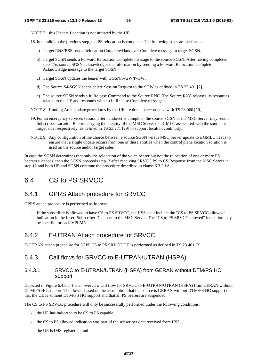NOTE 7: this Update Location is not initiated by the UE.

18. In parallel to the previous step, the PS relocation is complete. The following steps are performed:

- a) Target RNS/BSS sends Relocation Complete/Handover Complete message to target SGSN.
- b) Target SGSN sends a Forward Relocation Complete message to the source SGSN. After having completed step 17e, source SGSN acknowledges the information by sending a Forward Relocation Complete Acknowledge message to the target SGSN.
- c) Target SGSN updates the bearer with GGSN/S-GW/P-GW.
- d) The Source S4-SGSN sends delete Session Request to the SGW as defined in TS 23.401 [2].
- e) The source SGSN sends a Iu Release Command to the Source RNC. The Source RNC releases its resources related to the UE and responds with an Iu Release Complete message.
- NOTE 8: Routing Area Update procedures by the UE are done in accordance with TS 23.060 [10].
- 19. For an emergency services session after handover is complete, the source SGSN or the MSC Server may send a Subscriber Location Report carrying the identity of the MSC Server to a GMLC associated with the source or target side, respectively, as defined in TS 23.271 [29] to support location continuity.
- NOTE 9: Any configuration of the choice between a source SGSN versus MSC Server update to a GMLC needs to ensure that a single update occurs from one of these entities when the control plane location solution is used on the source and/or target sides.

In case the SGSN determines that only the relocation of the voice bearer but not the relocation of one or more PS bearers succeeds, then the SGSN proceeds step13 after receiving SRVCC PS to CS Response from the MSC Server in step 12 and both UE and SGSN continue the procedure described in clause 6.3.2.1A.

## 6.4 CS to PS SRVCC

### 6.4.1 GPRS Attach procedure for SRVCC

GPRS attach procedure is performed as follows:

If the subscriber is allowed to have CS to PS SRVCC, the HSS shall include the "CS to PS SRVCC allowed" indication in the Insert Subscriber Data sent to the MSC Server. The "CS to PS SRVCC allowed" indication may be specific for each VPLMN.

#### 6.4.2 E-UTRAN Attach procedure for SRVCC

E-UTRAN attach procedure for 3GPP CS to PS SRVCC UE is performed as defined in TS 23.401 [2].

#### 6.4.3 Call flows for SRVCC to E-UTRAN/UTRAN (HSPA)

#### 6.4.3.1 SRVCC to E-UTRAN/UTRAN (HSPA) from GERAN without DTM/PS HO support

Depicted in Figure 6.4.3.1-1 is an overview call flow for SRVCC to E-UTRAN/UTRAN (HSPA) from GERAN without DTM/PS HO support. The flow is based on the assumption that the source is GERAN without DTM/PS HO support or that the UE is without DTM/PS HO support and that all PS bearers are suspended.

The CS to PS SRVCC procedure will only be successfully performed under the following conditions:

- the UE has indicated to be CS to PS capable,
- the CS to PS allowed indication was part of the subscriber data received from HSS,
- the UE is IMS registered; and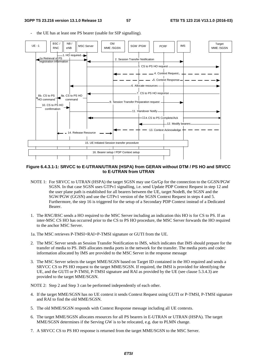the UE has at least one PS bearer (usable for SIP signalling). UE - 1 Old BSC / NB /



#### **Figure 6.4.3.1-1: SRVCC to E-UTRAN/UTRAN (HSPA) from GERAN without DTM / PS HO and SRVCC to E-UTRAN from UTRAN**

- NOTE 1: For SRVCC to UTRAN (HSPA) the target SGSN may use Gn/Gp for the connection to the GGSN/PGW SGSN. In that case SGSN uses GTPv1 signalling, i.e. send Update PDP Context Request in step 12 and the user plane path is established for all bearers between the UE, target NodeB, the SGSN and the SGW/PGW (GGSN) and use the GTPv1 version of the SGSN Context Request in steps 4 and 5. Furthermore, the step 16 is triggered for the setup of a Secondary PDP Context instead of a Dedicated Bearer.
- 1. The RNC/BSC sends a HO required to the MSC Server including an indication this HO is for CS to PS. If an inter-MSC CS HO has occurred prior to the CS to PS HO procedure, the MSC Server forwards the HO required to the anchor MSC Server.
- 1a. The MSC retrieves P-TMSI+RAI+P-TMSI signature or GUTI from the UE.
- 2. The MSC Server sends an Session Transfer Notification to IMS, which indicates that IMS should prepare for the transfer of media to PS. IMS allocates media ports in the network for the transfer. The media ports and codec information allocated by IMS are provided to the MSC Server in the response message
- 3. The MSC Server selects the target MME/SGSN based on Target ID contained in the HO required and sends a SRVCC CS to PS HO request to the target MME/SGSN. If required, the IMSI is provided for identifying the UE, and the GUTI or P-TMSI, P-TMSI signature and RAI as provided by the UE (see clause 5.3.4.3) are provided to the target MME/SGSN.

NOTE 2: Step 2 and Step 3 can be performed independently of each other.

- 4. If the target MME/SGSN has no UE context it sends Context Request using GUTI or P-TMSI, P-TMSI signature and RAI to find the old MME/SGSN.
- 5. The old MME/SGSN responds with Context Response message including all UE contexts.
- 6. The target MME/SGSN allocates resources for all PS bearers in E-UTRAN or UTRAN (HSPA). The target MME/SGSN determines if the Serving GW is to be relocated, e.g. due to PLMN change.
- 7. A SRVCC CS to PS HO response is returned from the target MME/SGSN to the MSC Server.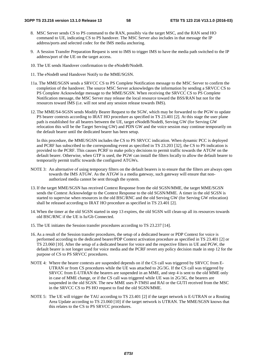- 8. MSC Server sends CS to PS command to the RAN, possibly via the target MSC, and the RAN send HO command to UE, indicating CS to PS handover. The MSC Server also includes in that message the IP address/ports and selected codec for the IMS media anchoring.
- 9. A Session Transfer Preparation Request is sent to IMS to trigger IMS to have the media path switched to the IP address/port of the UE on the target access.
- 10. The UE sends Handover confirmation to the eNodeB/NodeB.
- 11. The eNodeB send Handover Notify to the MME/SGSN.
- 11a. The MME/SGSN sends a SRVCC CS to PS Complete Notification message to the MSC Server to confirm the completion of the handover. The source MSC Server acknowledges the information by sending a SRVCC CS to PS Complete Acknowledge message to the MME/SGSN. When receiving the SRVCC CS to PS Complete Notification message, the MSC Server may release the local resource toward the BSS/RAN but not for the resources toward IMS (i.e. will not send any session release towards IMS).
- 12. The MME/S4-SGSN sends Modify Bearer Request to the SGW, which may be forwarded to the PGW to update PS bearer contexts according to IRAT HO procedure as specified in TS 23.401 [2]. At this stage the user plane path is established for all bearers between the UE, target eNodeB/NodeB, Serving GW (for Serving GW relocation this will be the Target Serving GW) and PDN GW and the voice session may continue temporarily on the default bearer until the dedicated bearer has been setup.

 In this procedure, the MME/SGSN includes the CS to PS SRVCC indication. When dynamic PCC is deployed and PCRF has subscribed to the corresponding event as specified in TS 23.203 [32], the CS to PS indication is provided to the PCRF. This causes PCRF to make policy decisions to permit traffic towards the ATGW on the default bearer. Otherwise, when GTP is used, the PGW can install the filters locally to allow the default bearer to temporarily permit traffic towards the configured ATGWs.

- NOTE 3: An alternative of using temporary filters on the default bearers is to ensure that the filters are always open towards the IMS ATGW. As the ATGW is a media gateway, such gateway will ensure that nonauthorized media cannot be sent through the system.
- 13. If the target MME/SGSN has received Context Response from the old SGSN/MME, the target MME/SGSN sends the Context Acknowledge to the Context Response to the old SGSN/MME. A timer in the old SGSN is started to supervise when resources in the old BSC/RNC and the old Serving GW (for Serving GW relocation) shall be released according to IRAT HO procedure as specified in TS 23.401 [2].
- 14. When the timer at the old SGSN started in step 13 expires, the old SGSN will clean-up all its resources towards old BSC/RNC if the UE is Iu/Gb Connected.
- 15. The UE initiates the Session transfer procedures according to TS 23.237 [14].
- 16. As a result of the Session transfer procedures, the setup of a dedicated bearer or PDP Context for voice is performed according to the dedicated bearer/PDP Context activation procedure as specified in TS 23.401 [2] or TS 23.060 [10]. After the setup of a dedicated bearer for voice and the respective filters in UE and PGW, the default bearer is not longer used for voice media and the PCRF revert any policy decision made in step 12 for the purpose of CS to PS SRVCC procedures.
- NOTE 4: Where the bearer contexts are suspended depends on if the CS call was triggered by SRVCC from E-UTRAN or from CS procedures while the UE was attached to 2G/3G. If the CS call was triggered by SRVCC from E-UTRAN the bearers are suspended in an MME, and step 4 is sent to the old MME only in case of MME change, or if the CS call was triggered while UE was in 2G/3G, the bearers are suspended in the old SGSN. The new MME uses P-TMSI and RAI or the GUTI received from the MSC in the SRVCC CS to PS HO request to find the old SGSN/MME.
- NOTE 5: The UE will trigger the TAU according to TS 23.401 [2] if the target network is E-UTRAN or a Routing Area Update according to TS 23.060 [10] if the target network is UTRAN. The MME/SGSN knows that this relates to the CS to PS SRVCC procedures.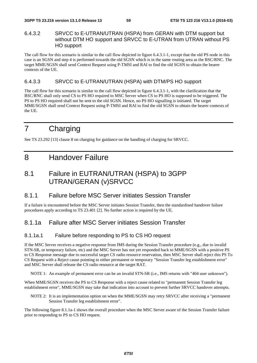#### 6.4.3.2 SRVCC to E-UTRAN/UTRAN (HSPA) from GERAN with DTM support but without DTM HO support and SRVCC to E-UTRAN from UTRAN without PS HO support

The call flow for this scenario is similar to the call flow depicted in figure 6.4.3.1-1, except that the old PS node in this case is an SGSN and step 4 is performed towards the old SGSN which is in the same routing area as the BSC/RNC. The target MME/SGSN shall send Context Request using P-TMSI and RAI to find the old SGSN to obtain the bearer contexts of the UE.

#### 6.4.3.3 SRVCC to E-UTRAN/UTRAN (HSPA) with DTM/PS HO support

The call flow for this scenario is similar to the call flow depicted in figure 6.4.3.1-1, with the clarification that the BSC/RNC shall only send CS to PS HO required to MSC Server when CS to PS HO is supposed to be triggered. The PS to PS HO required shall not be sent to the old SGSN. Hence, no PS HO signalling is initiated. The target MME/SGSN shall send Context Request using P-TMSI and RAI to find the old SGSN to obtain the bearer contexts of the UE.

## 7 Charging

See TS 23.292 [13] clause 8 on charging for guidance on the handling of charging for SRVCC.

## 8 Handover Failure

## 8.1 Failure in EUTRAN/UTRAN (HSPA) to 3GPP UTRAN/GERAN (v)SRVCC

#### 8.1.1 Failure before MSC Server initiates Session Transfer

If a failure is encountered before the MSC Server initiates Session Transfer, then the standardised handover failure procedures apply according to TS 23.401 [2]. No further action is required by the UE.

## 8.1.1a Failure after MSC Server initiates Session Transfer

#### 8.1.1a.1 Failure before responding to PS to CS HO request

If the MSC Server receives a negative response from IMS during the Session Transfer procedure (e.g., due to invalid STN-SR, or temporary failure, etc) and the MSC Server has not yet responded back to MME/SGSN with a positive PS to CS Response message due to successful target CS radio resource reservation, then MSC Server shall reject this PS To CS Request with a Reject cause pointing to either permanent or temporary "Session Transfer leg establishment error" and MSC Server shall release the CS radio resource at the target RAT.

NOTE 1: An example of permanent error can be an invalid STN-SR (i.e., IMS returns with "404 user unknown").

When MME/SGSN receives the PS to CS Response with a reject cause related to "permanent Session Transfer leg establishment error", MME/SGSN may take that indication into account to prevent further SRVCC handover attempts.

NOTE 2: It is an implementation option on when the MME/SGSN may retry SRVCC after receiving a "permanent Session Transfer leg establishment error".

The following figure 8.1.1a-1 shows the overall procedure when the MSC Server aware of the Session Transfer failure prior to responding to PS to CS HO request.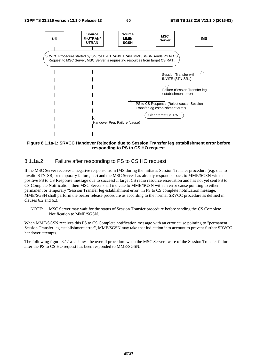

**Figure 8.1.1a-1: SRVCC Handover Rejection due to Session Transfer leg establishment error before responding to PS to CS HO request** 

#### 8.1.1a.2 Failure after responding to PS to CS HO request

If the MSC Server receives a negative response from IMS during the initiates Session Transfer procedure (e.g. due to invalid STN-SR, or temporary failure, etc) and the MSC Server has already responded back to MME/SGSN with a positive PS to CS Response message due to successful target CS radio resource reservation and has not yet sent PS to CS Complete Notification, then MSC Server shall indicate to MME/SGSN with an error cause pointing to either permanent or temporary "Session Transfer leg establishment error" in PS to CS complete notification message, MME/SGSN shall perform the bearer release procedure as according to the normal SRVCC procedure as defined in clauses 6.2 and 6.3.

NOTE: MSC Server may wait for the status of Session Transfer procedure before sending the CS Complete Notification to MME/SGSN.

When MME/SGSN receives this PS to CS Complete notification message with an error cause pointing to "permanent Session Transfer leg establishment error", MME/SGSN may take that indication into account to prevent further SRVCC handover attempts.

The following figure 8.1.1a-2 shows the overall procedure when the MSC Server aware of the Session Transfer failure after the PS to CS HO request has been responded to MME/SGSN.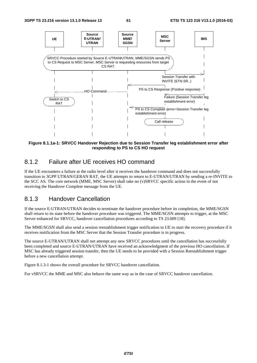

**Figure 8.1.1a-1: SRVCC Handover Rejection due to Session Transfer leg establishment error after responding to PS to CS HO request** 

### 8.1.2 Failure after UE receives HO command

If the UE encounters a failure at the radio level after it receives the handover command and does not successfully transition to 3GPP UTRAN/GERAN RAT, the UE attempts to return to E-UTRAN/UTRAN by sending a re-INVITE to the SCC AS. The core network (MME, MSC Server) shall take no (v)SRVCC specific action in the event of not receiving the Handover Complete message from the UE.

#### 8.1.3 Handover Cancellation

If the source E-UTRAN/UTRAN decides to terminate the handover procedure before its completion, the MME/SGSN shall return to its state before the handover procedure was triggered. The MME/SGSN attempts to trigger, at the MSC Server enhanced for SRVCC, handover cancellation procedures according to TS 23.009 [18].

The MME/SGSN shall also send a session reestablishment trigger notification to UE to start the recovery procedure if it receives notification from the MSC Server that the Session Transfer procedure is in progress.

The source E-UTRAN/UTRAN shall not attempt any new SRVCC procedures until the cancellation has successfully been completed and source E-UTRAN/UTRAN have received an acknowledgment of the previous HO cancellation. If MSC has already triggered session transfer, then the UE needs to be provided with a Session Reestablishment trigger before a new cancellation attempt.

Figure 8.1.3-1 shows the overall procedure for SRVCC handover cancellation.

For vSRVCC the MME and MSC also behave the same way as in the case of SRVCC handover cancellation.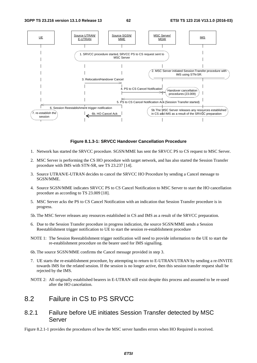

#### **Figure 8.1.3-1: SRVCC Handover Cancellation Procedure**

- 1. Network has started the SRVCC procedure. SGSN/MME has sent the SRVCC PS to CS request to MSC Server.
- 2. MSC Server is performing the CS HO procedure with target network, and has also started the Session Transfer procedure with IMS with STN-SR, see TS 23.237 [14].
- 3. Source UTRAN/E-UTRAN decides to cancel the SRVCC HO Procedure by sending a Cancel message to SGSN/MME.
- 4. Source SGSN/MME indicates SRVCC PS to CS Cancel Notification to MSC Server to start the HO cancellation procedure as according to TS 23.009 [18].
- 5. MSC Server acks the PS to CS Cancel Notification with an indication that Session Transfer procedure is in progress.
- 5b. The MSC Server releases any resources established in CS and IMS as a result of the SRVCC preparation.
- 6. Due to the Session Transfer procedure in progress indication, the source SGSN/MME sends a Session Reestablishment trigger notification to UE to start the session re-establishment procedure
- NOTE 1: The Session Reestablishment trigger notification will need to provide information to the UE to start the re-establishment procedure on the bearer used for IMS signalling.
- 6b. The source SGSN/MME confirms the Cancel message provided in step 3.
- 7. UE starts the re-establishment procedure, by attempting to return to E-UTRAN/UTRAN by sending a re-INVITE towards IMS for the related session. If the session is no longer active, then this session transfer request shall be rejected by the IMS.
- NOTE 2: All originally established bearers in E-UTRAN still exist despite this process and assumed to be re-used after the HO cancelation.

### 8.2 Failure in CS to PS SRVCC

#### 8.2.1 Failure before UE initiates Session Transfer detected by MSC Server

Figure 8.2.1-1 provides the procedures of how the MSC server handles errors when HO Required is received.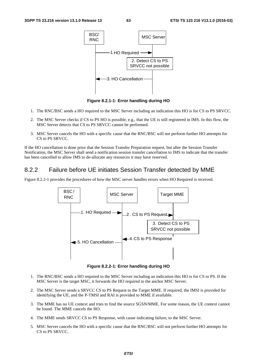

**Figure 8.2.1-1: Error handling during HO** 

- 1. The RNC/BSC sends a HO required to the MSC Server including an indication this HO is for CS to PS SRVCC.
- 2. The MSC Server checks if CS to PS HO is possible, e.g., that the UE is still registered in IMS. In this flow, the MSC Server detects that CS to PS SRVCC cannot be performed.
- 3. MSC Server cancels the HO with a specific cause that the RNC/BSC will not perform further HO attempts for CS to PS SRVCC.

If the HO cancellation is done prior that the Session Transfer Preparation request, but after the Session Transfer Notification, the MSC Server shall send a notification session transfer cancellation to IMS to indicate that the transfer has been cancelled to allow IMS to de-allocate any resources it may have reserved.

## 8.2.2 Failure before UE initiates Session Transfer detected by MME

Figure 8.2.2-1 provides the procedures of how the MSC server handles errors when HO Required is received.



**Figure 8.2.2-1: Error handling during HO** 

- 1. The RNC/BSC sends a HO required to the MSC Server including an indication this HO is for CS to PS. If the MSC Server is the target MSC, it forwards the HO required to the anchor MSC Server.
- 2. The MSC Server sends a SRVCC CS to PS Request to the Target MME. If required, the IMSI is provided for identifying the UE, and the P-TMSI and RAI is provided to MME if available.
- 3. The MME has no UE context and tries to find the source SGSN/MME. For some reason, the UE context cannot be found. The MME cancels the HO.
- 4. The MME sends SRVCC CS to PS Response, with cause indicating failure, to the MSC Server.
- 5. MSC Server cancels the HO with a specific cause that the RNC/BSC will not perform further HO attempts for CS to PS SRVCC.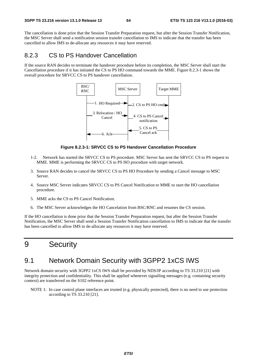The cancellation is done prior that the Session Transfer Preparation request, but after the Session Transfer Notification, the MSC Server shall send a notification session transfer cancellation to IMS to indicate that the transfer has been cancelled to allow IMS to de-allocate any resources it may have reserved.

### 8.2.3 CS to PS Handover Cancellation

If the source RAN decides to terminate the handover procedure before its completion, the MSC Server shall start the Cancellation procedure if it has initiated the CS to PS HO command towards the MME. Figure 8.2.3-1 shows the overall procedure for SRVCC CS to PS handover cancellation.



**Figure 8.2.3-1: SRVCC CS to PS Handover Cancellation Procedure** 

- 1-2. Network has started the SRVCC CS to PS procedure. MSC Server has sent the SRVCC CS to PS request to MME. MME is performing the SRVCC CS to PS HO procedure with target network.
- 3. Source RAN decides to cancel the SRVCC CS to PS HO Procedure by sending a Cancel message to MSC Server.
- 4. Source MSC Server indicates SRVCC CS to PS Cancel Notification to MME to start the HO cancellation procedure.
- 5. MME acks the CS to PS Cancel Notification.
- 6. The MSC Server acknowledges the HO Cancelation from BSC/RNC and resumes the CS session.

If the HO cancellation is done prior that the Session Transfer Preparation request, but after the Session Transfer Notification, the MSC Server shall send a Session Transfer Notification cancellation to IMS to indicate that the transfer has been cancelled to allow IMS to de-allocate any resources it may have reserved.

## 9 Security

## 9.1 Network Domain Security with 3GPP2 1xCS IWS

Network domain security with 3GPP2 1xCS IWS shall be provided by NDS/IP according to TS 33.210 [21] with integrity protection and confidentiality. This shall be applied whenever signalling messages (e.g. containing security context) are transferred on the S102 reference point.

NOTE 1: In case control plane interfaces are trusted (e.g. physically protected), there is no need to use protection according to TS 33.210 [21].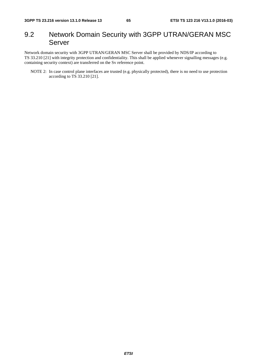## 9.2 Network Domain Security with 3GPP UTRAN/GERAN MSC Server

Network domain security with 3GPP UTRAN/GERAN MSC Server shall be provided by NDS/IP according to TS 33.210 [21] with integrity protection and confidentiality. This shall be applied whenever signalling messages (e.g. containing security context) are transferred on the Sv reference point.

NOTE 2: In case control plane interfaces are trusted (e.g. physically protected), there is no need to use protection according to TS 33.210 [21].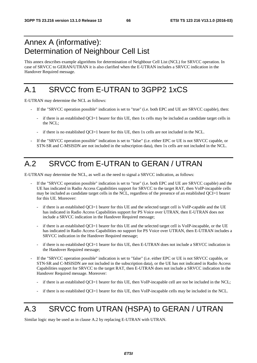## Annex A (informative): Determination of Neighbour Cell List

This annex describes example algorithms for determination of Neighbour Cell List (NCL) for SRVCC operation. In case of SRVCC to GERAN/UTRAN it is also clarified when the E-UTRAN includes a SRVCC indication in the Handover Required message.

## A.1 SRVCC from E-UTRAN to 3GPP2 1xCS

E-UTRAN may determine the NCL as follows:

- If the "SRVCC operation possible" indication is set to "true" (i.e. both EPC and UE are SRVCC capable), then:
	- if there is an established QCI=1 bearer for this UE, then 1x cells may be included as candidate target cells in the NCL;
	- if there is no established QCI=1 bearer for this UE, then 1x cells are not included in the NCL.
- If the "SRVCC operation possible" indication is set to "false" (i.e. either EPC or UE is not SRVCC capable, or STN-SR and C-MSISDN are not included in the subscription data), then 1x cells are not included in the NCL.

## A.2 SRVCC from E-UTRAN to GERAN / UTRAN

E-UTRAN may determine the NCL, as well as the need to signal a SRVCC indication, as follows:

- If the "SRVCC operation possible" indication is set to "true" (i.e. both EPC and UE are SRVCC capable) and the UE has indicated in Radio Access Capabilities support for SRVCC to the target RAT, then VoIP-incapable cells may be included as candidate target cells in the NCL, regardless of the presence of an established QCI=1 bearer for this UE. Moreover:
	- if there is an established QCI=1 bearer for this UE and the selected target cell is VoIP-capable and the UE has indicated in Radio Access Capabilities support for PS Voice over UTRAN, then E-UTRAN does not include a SRVCC indication in the Handover Required message;
	- if there is an established QCI=1 bearer for this UE and the selected target cell is VoIP-incapable, or the UE has indicated in Radio Access Capabilities no support for PS Voice over UTRAN, then E-UTRAN includes a SRVCC indication in the Handover Required message;
	- if there is no established OCI=1 bearer for this UE, then E-UTRAN does not include a SRVCC indication in the Handover Required message;
- If the "SRVCC operation possible" indication is set to "false" (i.e. either EPC or UE is not SRVCC capable, or STN-SR and C-MSISDN are not included in the subscription data), or the UE has not indicated in Radio Access Capabilities support for SRVCC to the target RAT, then E-UTRAN does not include a SRVCC indication in the Handover Required message. Moreover:
	- if there is an established OCI=1 bearer for this UE, then VoIP-incapable cell are not be included in the NCL;
	- if there is no established QCI=1 bearer for this UE, then VoIP-incapable cells may be included in the NCL.

## A.3 SRVCC from UTRAN (HSPA) to GERAN / UTRAN

Similar logic may be used as in clause A.2 by replacing E-UTRAN with UTRAN.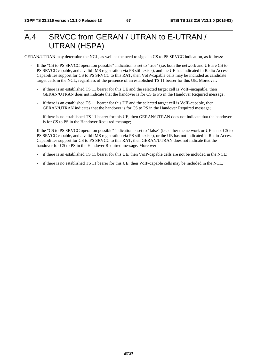## A.4 SRVCC from GERAN / UTRAN to E-UTRAN / UTRAN (HSPA)

GERAN/UTRAN may determine the NCL, as well as the need to signal a CS to PS SRVCC indication, as follows:

- If the "CS to PS SRVCC operation possible" indication is set to "true" (i.e. both the network and UE are CS to PS SRVCC capable, and a valid IMS registration via PS still exists), and the UE has indicated in Radio Access Capabilities support for CS to PS SRVCC to this RAT, then VoIP-capable cells may be included as candidate target cells in the NCL, regardless of the presence of an established TS 11 bearer for this UE. Moreover:
	- if there is an established TS 11 bearer for this UE and the selected target cell is VoIP-incapable, then GERAN/UTRAN does not indicate that the handover is for CS to PS in the Handover Required message;
	- if there is an established TS 11 bearer for this UE and the selected target cell is VoIP-capable, then GERAN/UTRAN indicates that the handover is for CS to PS in the Handover Required message;
	- if there is no established TS 11 bearer for this UE, then GERAN/UTRAN does not indicate that the handover is for CS to PS in the Handover Required message;
- If the "CS to PS SRVCC operation possible" indication is set to "false" (i.e. either the network or UE is not CS to PS SRVCC capable, and a valid IMS registration via PS still exists), or the UE has not indicated in Radio Access Capabilities support for CS to PS SRVCC to this RAT, then GERAN/UTRAN does not indicate that the handover for CS to PS in the Handover Required message. Moreover:
	- if there is an established TS 11 bearer for this UE, then VoIP-capable cells are not be included in the NCL;
	- if there is no established TS 11 bearer for this UE, then VoIP-capable cells may be included in the NCL.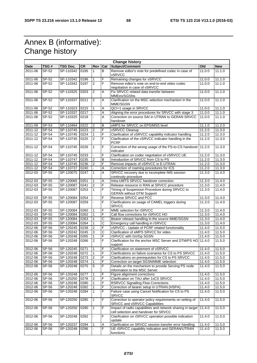## Annex B (informative): Change history

| <b>Change history</b> |            |                |           |                         |                         |                                                                                                            |        |            |
|-----------------------|------------|----------------|-----------|-------------------------|-------------------------|------------------------------------------------------------------------------------------------------------|--------|------------|
| <b>Date</b>           | TSG#       | TSG Doc.       | <b>CR</b> | Rev                     | Cat                     | Subject/Comment                                                                                            | Old    | <b>New</b> |
| 2011-06               | SP-52      | SP-110342      | 0195      | $\mathbf{1}$            | B                       | Remove editor's note for predefined codec in case of<br><b>vSRVCC</b>                                      | 11.0.0 | 11.1.0     |
| 2011-06               | SP-52      | SP-110342      | 0196      | 1                       | F                       | Remaining changes for vSRVCC                                                                               | 11.0.0 | 11.1.0     |
| 2011-06               | SP-52      | SP-110342      | 0197      | $\overline{2}$          | F                       | Remove editor's note on end-to-end video codec<br>negotiation in case of vSRVCC                            | 11.0.0 | 11.1.0     |
| 2011-06               | SP-52      | SP-110325      | 0203      | $\overline{2}$          | A                       | Fix SRVCC related data transfer between<br>MMEes/SGSNs                                                     | 11.0.0 | 11.1.0     |
| 2011-06               | $SP-52$    | SP-110337      | 0211      | $\overline{2}$          | A                       | Clarification on the MSC selection mechanism in the<br>MME/SGSN                                            | 11.0.0 | 11.1.0     |
| 2011-06               | SP-52      | SP-110323      | 0215      | 1                       | A                       | QCI=1 usage in SRVCC                                                                                       | 11.0.0 | 11.1.0     |
| 2011-06               | SP-52      | SP-110337      | 0217      |                         | A                       | Aligning the error procedures for SRVCC with stage 3                                                       | 11.0.0 | 11.1.0     |
| 2011-06               | SP-52      | SP-110325      | 0218      |                         | $\overline{A}$          | Correction on source SAI in UTRAN to GERAN SRVCC<br>handover                                               | 11.00  | 11.1.0     |
| 2011-09               | SP-53      | SP-110464      | 0222      | $\overline{2}$          | B                       | eMPS for SRVCC on EPS/MSS level                                                                            | 11.1.0 | 11.2.0     |
| 2011-12               | SP-54      | SP-110745      | 0223      | $\overline{c}$          | F                       | vSRVCC Cleanup                                                                                             | 11.2.0 | 11.3.0     |
| 2011-12               | SP-54      | SP-110745      | 0224      | $\mathbf{1}$            | F                       | Clarification of vSRVCC capability indicator handling                                                      | 11.2.0 | 11.3.0     |
| 2011-12               | SP-54      | SP-110745      | 0225      | $\overline{2}$          | F                       | Clarification of the vSRVCC indicator handling in the<br><b>PCRF</b>                                       | 11.2.0 | 11.3.0     |
| 2011-12               | SP-54      | SP-110745      | 0226      | $\mathbf{1}$            | F                       | Correction of the wrong usage of the PS-to-CS handover<br>indicator                                        | 11.2.0 | 11.3.0     |
| 2011-12               | SP-54      | SP-110745      | 0233      |                         | F                       | Clarification on codec negotiation of vSRVCC UE                                                            | 11.2.0 | 11.3.0     |
| 2011-12               | SP-54      | SP-110747      | 0235      | $\overline{2}$          | $\mathsf B$             | Introduction of SRVCC from CS to PS                                                                        | 11.2.0 | 11.3.0     |
| 2011-12               | SP-54      | SP-110745      | 0236      | $\overline{2}$          | F                       | Remove impacts of vSRVCC in E-UTRAN                                                                        | 11.2.0 | 11.3.0     |
| 2011-12               | SP-54      | SP-110737      | 0240      |                         | $\overline{\mathsf{A}}$ | Correction of roaming procedures for ICS                                                                   | 11.2.0 | 11.3.0     |
| 2012-03               | SP-55      | SP-120075      | 0247      | $\mathbf{1}$            | A                       | SRVCC recovery due to incomplete IMS session<br>continuity procedure                                       | 11.3.0 | 11.4.0     |
| 2012-03               | SP-55      | SP-120065      | 0251      | 1                       | A                       | Intra-UMTS SRVCC handover correction                                                                       | 11.3.0 | 11.4.0     |
| $2012 - 03$           | SP-55      | SP-120087      | 0241      | $\boldsymbol{2}$        | F                       | Release resource in RAN at SRVCC procedure                                                                 | 11.3.0 | 11.4.0     |
| 2012-03               | SP-55      | SP-120087      | 0253      | $\overline{1}$          | $\overline{F}$          | Timing of Suspension Procedure during SRVCC to<br><b>GERAN without DTM Support</b>                         | 11.3.0 | 11.4.0     |
| 2012-03               | SP-55      | SP-120084      | 0254      |                         | F                       | Reverse SRVCC and PCC                                                                                      | 11.3.0 | 11.4.0     |
| 2012-03               | $SP-55$    | SP-120087      | 0259      |                         | F                       | Clarifications on usage of CAMEL triggers during<br><b>SRVCC</b>                                           | 11.3.0 | 11.4.0     |
| 2012-03               | SP-55      | SP-120084      | 0260      | $\mathbf{1}$            | F                       | MME selection for rSRVCC                                                                                   | 11.3.0 | 11.4.0     |
| 2012-03               | SP-55      | SP-120084      | 0262      | 1                       | F                       | Call flow corrections for rSRVCC HO                                                                        | 11.3.0 | 11.4.0     |
| 2012-03               | SP-55      | SP-120084      | 0263      | 1                       | $\overline{\text{c}}$   | Bearer release handling in the source MME/SGSN                                                             | 11.3.0 | 11.4.0     |
| 2012-03               | SP-55      | SP-120084      | 0264      | 1                       | $\overline{\text{c}}$   | Emergency call handling in rSRVCC                                                                          | 11.3.0 | 11.4.0     |
| 2012-06               | SP-56      | SP-120245      | 0238      | $\overline{2}$          | F                       | vSRVCC - Update of PCRF related functionality                                                              | 11.4.0 | 11.5.0     |
| 2012-06               | SP-56      | SP-120242      | 0245      | 3                       | $\overline{C}$          | Clarification of eMPS SRVCC for video                                                                      | 11.4.0 | 11.5.0     |
| 2012-06               | SP-56      | SP-120248      | 0265      | $\mathbf{1}$            | F                       | rSRVCC with Gn/Gp SGSN                                                                                     | 11.4.0 | 11.5.0     |
| 2012-06               | SP-56      | SP-120248      | 0266      | $\overline{2}$          | F                       | Clarification for the anchor MSC Server and DTM/PS HO<br>support                                           | 11.4.0 | 11.5.0     |
| 2012-06               | $S P - 56$ | SP-120245      | 0271      | $\mathbf{1}$            | F                       | Clarification on statement of vSRVCC                                                                       | 11.4.0 | 11.5.0     |
| 2012-06               | SP-56      | SP-120248 0272 |           | $\mathbf{1}$            | F                       | Clarifications on failure scenarios for CS to PS SRVCC                                                     | 11.4.0 | 11.5.0     |
| 2012-06               | SP-56      | SP-120248 0273 |           | $\overline{2}$          | F                       | Clarifications on prerequisites for CS to PS SRVCC                                                         | 11.4.0 | 11.5.0     |
| 2012-06               | SP-56      | SP-120248      | 0274      | $\mathbf{1}$            | $\overline{F}$          | Correction on target SGSN/MME selection                                                                    | 11.4.0 | 11.5.0     |
| 2012-06               | SP-56      | SP-120248      | 0275      | 5                       | F                       | Details on the mechanism to provide Serving PS node<br>information to the MSC Server                       | 11.4.0 | 11.5.0     |
| 2012-06               | SP-56      | SP-120248      | 0277      | 1                       | F                       | Figure alignment corrections                                                                               | 11.4.0 | 11.5.0     |
| 2012-06               | SP-56      | SP-120250      | 0278      | $\overline{\mathbf{c}}$ | F                       | Clarification on TAU after 1xCS SRVCC                                                                      | 11.4.0 | 11.5.0     |
| 2012-06               | SP-56      | SP-120248      | 0280      |                         | F                       | <b>RSRVCC Signalling Flow Corrections</b>                                                                  | 11.4.0 | 11.5.0     |
| 2012-06               | SP-56      | SP-120248      | 0282      | $\mathbf{1}$            | F                       | Correction of bearer setup in UTRAN (HSPA)                                                                 | 11.4.0 | 11.5.0     |
| 2012-06               | SP-56      | SP-120248      | 0284      | $\mathbf{1}$            | F                       | Failure case using Cancel Notification for CS to PS<br><b>SRVCC</b>                                        | 11.4.0 | 11.5.0     |
| 2012-06               | SP-56      | SP-120250      | 0285      | $\mathbf{1}$            | $\mathsf F$             | Correction to operator policy requirements on setting of<br>SRVCC and vSRVCC Capabilities                  | 11.4.0 | 11.5.0     |
| 2012-06               | SP-56      | SP-120250      | 0290      | $\mathbf{1}$            | F                       | Impact of radio capabilities and network sharing in target 11.4.0<br>cell selection and handover for SRVCC |        | 11.5.0     |
| 2012-06               | SP-56      | SP-120248      | 0292      |                         | F                       | Clarification on rSRVCC operation possible indication<br>update                                            | 11.4.0 | 11.5.0     |
| 2012-06               | SP-56      | SP-120237      | 0294      |                         | A                       | Clarification on SRVCC session transfer error handling                                                     | 11.4.0 | 11.5.0     |
| 2012-06               | SP-56      | SP-120248      | 0296      |                         | F                       | UE rSRVCC capability indication and GERAN/UTRAN<br>functions                                               | 11.4.0 | 11.5.0     |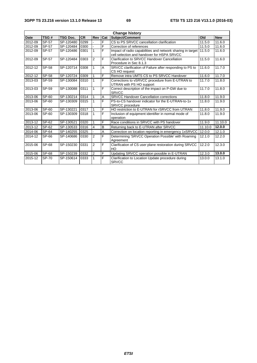| <b>Change history</b> |              |                 |                   |                |                |                                                                                                          |         |            |
|-----------------------|--------------|-----------------|-------------------|----------------|----------------|----------------------------------------------------------------------------------------------------------|---------|------------|
| <b>Date</b>           | TSG#         | <b>TSG Doc.</b> | <b>CR</b>         | <b>Rev</b>     | Cat            | Subject/Comment                                                                                          | Old     | <b>New</b> |
| 2012-09               | SP-57        | SP-120480       | 0299              |                | F              | CS to PS SRVCC cancellation clarification                                                                | 11.5.0  | 11.6.0     |
| 2012-09               | <b>SP-57</b> | SP-120484       | 0300              |                | F              | Correction of references                                                                                 | 11.5.0  | 11.6.0     |
| 2012-09               | SP-57        | SP-120486       | 0301              | 1              | F              | Impact of radio capabilities and network sharing in target<br>cell selection and handover for HSPA SRVCC | 11.5.0  | 11.6.0     |
| 2012-09               | SP-57        | SP-120484       | 0303              | $\overline{2}$ | F              | Clarification to SRVCC Handover Cancellation<br>Procedure in Sec 8.1.3                                   | 11.5.0  | 11.6.0     |
| 2012-12               | <b>SP-58</b> | SP-120714       | 0308              | 1              | $\overline{A}$ | SRVCC clarification of Failure after responding to PS to<br>CS HO request                                | 11.6.0  | 11.7.0     |
| 2012-12               | <b>SP-58</b> | SP-120724       | 0309              | 1              | $\overline{F}$ | Remove intra UMTS CS to PS SRVCC Handover                                                                | 11.6.0  | 11.7.0     |
| 2013-03               | SP-59        | SP-130084       | 0310              |                | F              | Corrections to vSRVCC procedure from E-UTRAN to<br>UTRAN with PS HO support                              | 11.7.0  | 11.8.0     |
| 2013-03               | SP-59        | SP-130088       | 0311              | 1              | F              | Correct description of the impact on P-GW due to<br><b>SRVCC</b>                                         | 11.7.0  | 11.8.0     |
| 2013-06               | SP-60        | SP-130214       | 0314              |                | A              | <b>SRVCC Handover Cancellation corrections</b>                                                           | 11.8.0  | 11.9.0     |
| 2013-06               | SP-60        | SP-130309       | 0315              | 1              | F              | PS-to-CS handover indicator for the E-UTRAN-to-1x<br><b>SRVCC</b> procedure                              | 11.8.0  | 11.9.0     |
| 2013-06               | SP-60        | SP-130221       | $031\overline{7}$ | 1              | $\overline{F}$ | HO restriction to E-UTRAN for rSRVCC from UTRAN                                                          | 11.8.0  | 11.9.0     |
| 2013-06               | SP-60        | SP-130309       | 0318              | 1              | F              | Inclusion of equipment identifier in normal mode of<br>operation                                         | 11.8.0  | 11.9.0     |
| 2013-12               | SP-62        | SP-130521       | 0320              | 1              | F              | Race conditions in SRVCC with PS handover                                                                | 11.9.0  | 11.10.0    |
| 2013-12               | SP-62        | SP-130533       | 0316              | 4              | B              | Returning back to E-UTRAN after SRVCC                                                                    | 11.10.0 | 12.0.0     |
| 2014-06               | SP-64        | SP-140255       | 0325              |                | A              | Correction on location reporting in emergency 1xSRVCC                                                    | 12.0.0  | 12.1.0     |
| 2014-12               | SP-66        | SP-140686       | 0330              | $\overline{2}$ | F              | Determining 'SRVCC Operation Possible' with Roaming<br>Agreement                                         | 12.1.0  | 12.2.0     |
| 2015-06               | SP-68        | SP-150230       | 0331              | $\overline{2}$ | F              | Clarification of CS user plane restoration during SRVCC<br>HO                                            | 12.2.0  | 12.3.0     |
| 2015-06               | <b>SP-68</b> | SP-150239       | 0332              | $\overline{2}$ | F              | Updating SRVCC operation possible in E-UTRAN                                                             | 12.3.0  | 13.0.0     |
| 2015-12               | <b>SP-70</b> | SP-150614       | 0333              | 1              | ĺΕ.            | Clarification to Location Update procedure during<br><b>SRVCC</b>                                        | 13.0.0  | 13.1.0     |